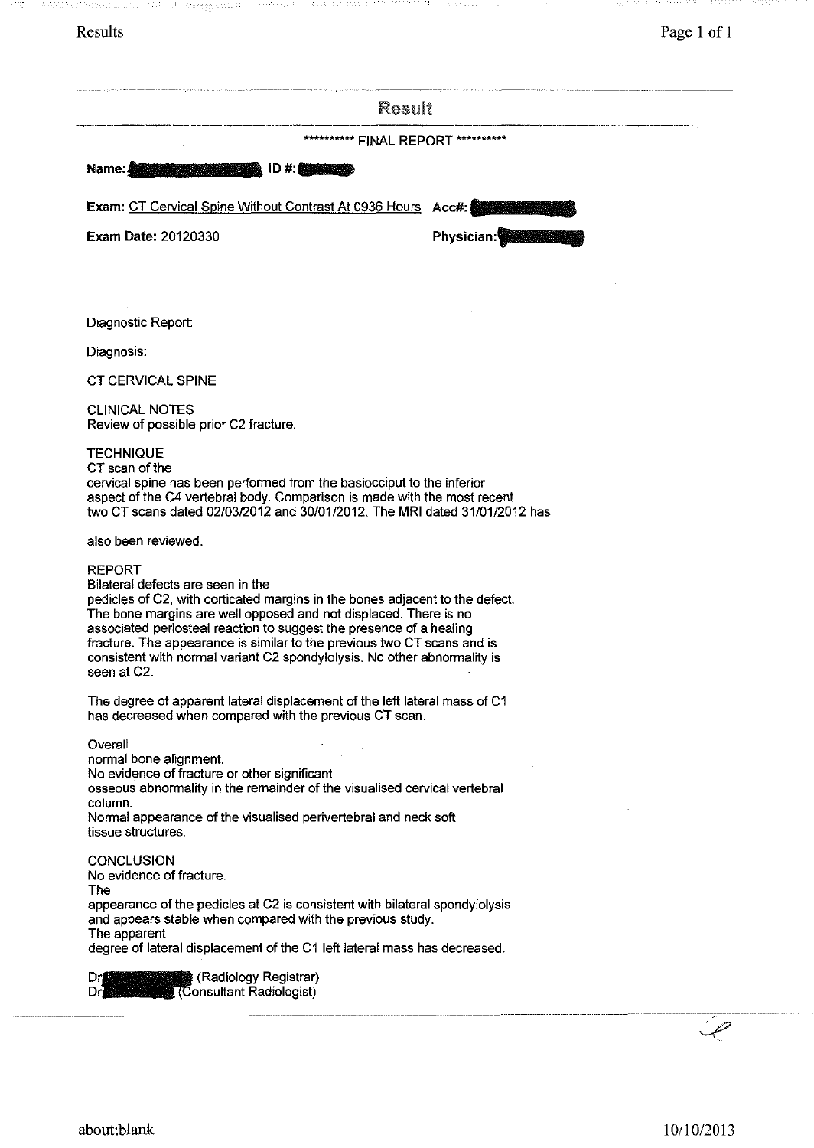Results

 $\sim$   $\sim$ 

a ang pagalang at sa pagbabang ng pangguna

| Result                                                                                                                                                                                                                                                                                                                                                                                                                                                           |            |  |  |  |
|------------------------------------------------------------------------------------------------------------------------------------------------------------------------------------------------------------------------------------------------------------------------------------------------------------------------------------------------------------------------------------------------------------------------------------------------------------------|------------|--|--|--|
| <b>FINAL REPORT **********</b><br>**********                                                                                                                                                                                                                                                                                                                                                                                                                     |            |  |  |  |
| Name:<br>ID #:1                                                                                                                                                                                                                                                                                                                                                                                                                                                  |            |  |  |  |
| Exam: CT Cervical Spine Without Contrast At 0936 Hours                                                                                                                                                                                                                                                                                                                                                                                                           | Acc#:      |  |  |  |
| <b>Exam Date: 20120330</b>                                                                                                                                                                                                                                                                                                                                                                                                                                       | Physician: |  |  |  |
|                                                                                                                                                                                                                                                                                                                                                                                                                                                                  |            |  |  |  |
|                                                                                                                                                                                                                                                                                                                                                                                                                                                                  |            |  |  |  |
| Diagnostic Report:                                                                                                                                                                                                                                                                                                                                                                                                                                               |            |  |  |  |
| Diagnosis:                                                                                                                                                                                                                                                                                                                                                                                                                                                       |            |  |  |  |
| <b>CT CERVICAL SPINE</b>                                                                                                                                                                                                                                                                                                                                                                                                                                         |            |  |  |  |
| <b>CLINICAL NOTES</b><br>Review of possible prior C2 fracture.                                                                                                                                                                                                                                                                                                                                                                                                   |            |  |  |  |
| <b>TECHNIQUE</b><br>CT scan of the<br>cervical spine has been performed from the basiocciput to the inferior<br>aspect of the C4 vertebral body. Comparison is made with the most recent<br>two CT scans dated 02/03/2012 and 30/01/2012. The MRI dated 31/01/2012 has                                                                                                                                                                                           |            |  |  |  |
| also been reviewed.                                                                                                                                                                                                                                                                                                                                                                                                                                              |            |  |  |  |
| <b>REPORT</b><br>Bilateral defects are seen in the<br>pedicles of C2, with corticated margins in the bones adjacent to the defect.<br>The bone margins are well opposed and not displaced. There is no<br>associated periosteal reaction to suggest the presence of a healing<br>fracture. The appearance is similar to the previous two CT scans and is<br>consistent with normal variant C2 spondylolysis. No other abnormality is<br>seen at C <sub>2</sub> . |            |  |  |  |
| The degree of apparent lateral displacement of the left lateral mass of C1<br>has decreased when compared with the previous CT scan.                                                                                                                                                                                                                                                                                                                             |            |  |  |  |
| Overall<br>normal bone alignment.<br>No evidence of fracture or other significant<br>osseous abnormality in the remainder of the visualised cervical vertebral<br>column.<br>Normal appearance of the visualised perivertebral and neck soft<br>tissue structures.                                                                                                                                                                                               |            |  |  |  |
| <b>CONCLUSION</b><br>No evidence of fracture.<br>The<br>appearance of the pedicles at C2 is consistent with bilateral spondylolysis<br>and appears stable when compared with the previous study.<br>The apparent<br>degree of lateral displacement of the C1 left lateral mass has decreased.                                                                                                                                                                    |            |  |  |  |
| (Radiology Registrar)<br>(Consultant Radiologist)                                                                                                                                                                                                                                                                                                                                                                                                                |            |  |  |  |

ה המשפט במשפט את ה-1979.<br>הא

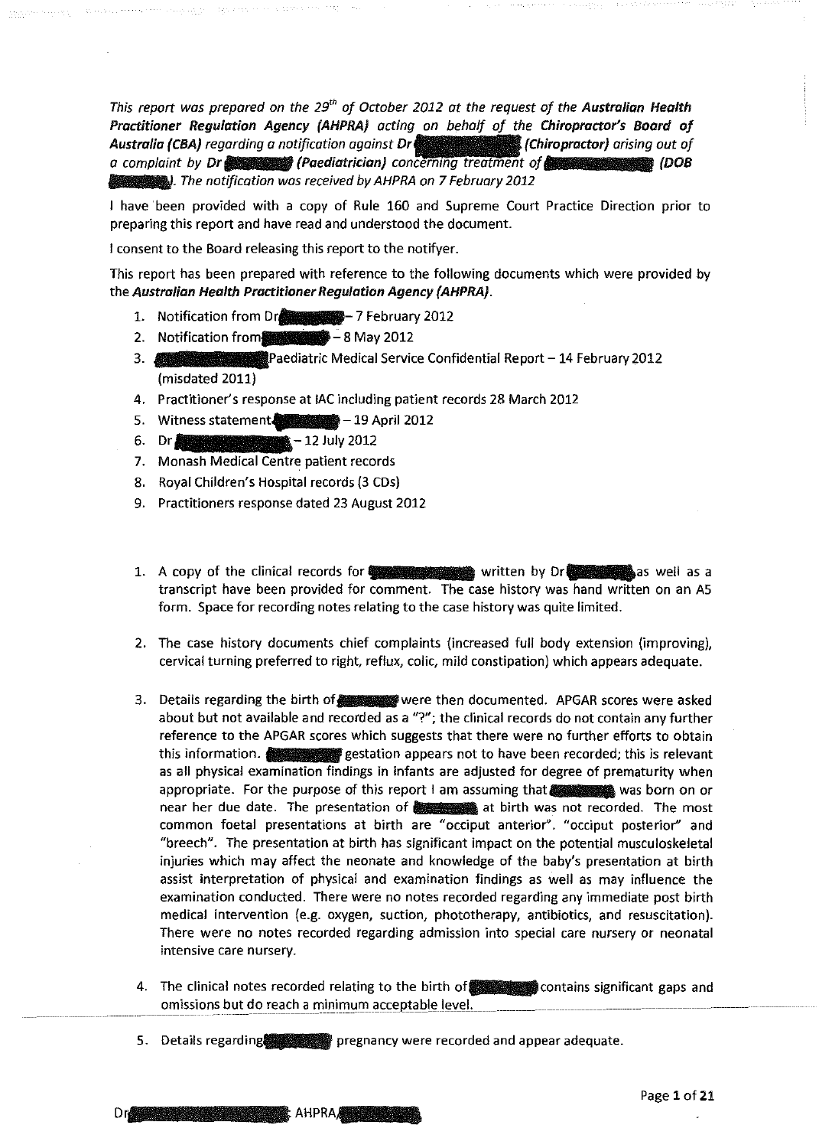*This report wos prepared on the 29'" of October 2012 at the request of the Australian Health*  Practitioner Regulation Agency (AHPRA) acting on behalf of the Chiropractor's Board of *Australia (CBA) regarding a notification against Dregoverno and (Chiropractor) arising out of a complaint by Dr {Paediatrician) of (DOB*  lllllillllllllllllll- *The notification was received by AHPRA an* 7 *February 2012* 

I have been provided with a copy of Rule 160 and Supreme Court Practice Direction prior to preparing this report and have read and understood the document.

I consent to the Board releasing this report to the notifyer.

This report has been prepared with reference to the following documents which were provided by the *Australian Health Practitioner Regulation Agency (AHPRA).* 

- 1. Notification from Dr. 1 7 February 2012
- 2. Notification from  $\sim$  -8 May 2012
- 3. 1 Medical Service Confidential Report -14 February 2012 (misdated 2011)
- 4. Practitioner's response at lAC including patient records 28 March 2012
- 5. Witness statement  $\frac{1}{2}$  19 April 2012<br>6. Dr **Alexandrich Company** 12 July 2012
- 6. Dr  $\frac{1}{2}$  by  $\frac{1}{2}$  by  $\frac{1}{2}$  buly 2012
- 7. Monash Medical Centre patient records
- 8. Royal Children's Hospital records (3 COs)
- 9. Practitioners response dated 23 August 2012
- 1. A copy of the clinical records for written by Dr as well as a transcript have been provided for comment. The case history was hand written on an AS form. Space for recording notes relating to the case history was quite limited.
- 2. The case history documents chief complaints (increased full body extension (improving), cervical turning preferred to right, reflux, colic, mild constipation) which appears adequate.
- 3. Details regarding the birth of were then documented. APGAR scores were asked about but not available and recorded as a"?"; the clinical records do not contain any further reference to the APGAR scores which suggests that there were no further efforts to obtain this information.  $g_{\text{eff}}$  gestation appears not to have been recorded; this is relevant as all physical examination findings in infants are adjusted for degree of prematurity when appropriate. For the purpose of this report I am assuming that was born *on* or near her due date. The presentation of **at all at birth was not recorded.** The most common foetal presentations at birth are "occiput anterior''. "occiput posterior'' and "breech". The presentation at birth has significant impact on the potential musculoskeletal injuries which may affect the neonate and knowledge of the baby's presentation at birth assist interpretation of physical and examination findings as well as may influence the examination conducted. There were no notes recorded regarding any immediate post birth medical intervention (e.g. oxygen, suction, phototherapy, antibiotics, and resuscitation). There were no notes recorded regarding admission into special care nursery or neonatal intensive care nursery.
- 4. The clinical notes recorded relating to the birth of states and contains significant gaps and omissions but do reach a minimum acceptable level.
- 5. Details regarding pregnancy were recorded and appear adequate.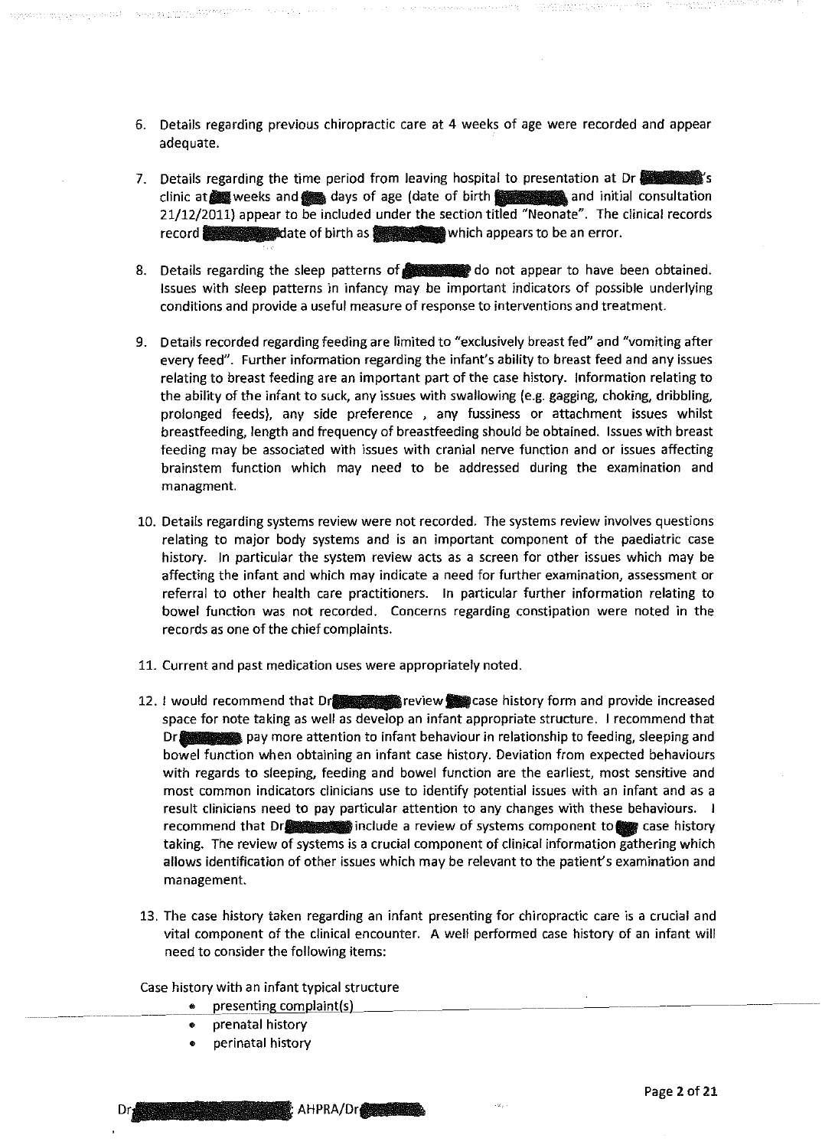6. Details regarding previous chiropractic care at 4 weeks of age were recorded and appear adequate.

.<br>Steanski političar s

- 7. Details regarding the time period from leaving hospital to presentation at Dr  $\sim$ clinic at weeks and states of age (date of birth and state and initial consultation 21/12/2011) appear to be included under the section titled "Neonate". The clinical records record **at a set of birth as**  $\sum_{n=1}^{\infty}$  which appears to be an error.
- 8. Details regarding the sleep patterns of  $\mathbf{f}$  do not appear to have been obtained. Issues with sleep patterns in infancy may be important indicators of possible underlying conditions and provide a useful measure of response to interventions and treatment.
- 9. Details recorded regarding feeding are limited to "exclusively breast fed" and "vomiting after every feed". Further information regarding the infant's ability to breast feed and any issues relating to breast feeding are an important part of the case history. Information relating to the ability of the infant to suck, any issues with swallowing (e.g. gagging, choking, dribbling, prolonged feeds), any side preference , any fussiness or attachment issues whilst breastfeeding, length and frequency of breastfeeding should be obtained. Issues with breast feeding may be associated with issues with cranial nerve function and or issues affecting brainstem function which may need to be addressed during the examination and managment.
- 10. Details regarding systems review were not recorded. The systems review involves questions relating to major body systems and is an important component of the paediatric case history. In particular the system review acts as a screen for other issues which may be affecting the infant and which may indicate a need for further examination, assessment or referral to other health care practitioners. In particular further information relating to bowel function was not recorded. Concerns regarding constipation were noted in the records as one of the chief complaints.
- 11. Current and past medication uses were appropriately noted.
- 12. I would recommend that Dream -case fistory form and provide increased space for note taking as well as develop an infant appropriate structure. I recommend that Dr pay more attention to infant behaviour in relationship to feeding, sleeping and bowel function when obtaining an infant case history. Deviation from expected behaviours with regards to sleeping, feeding and bowel function are the earliest, most sensitive and most common indicators clinicians use to identify potential issues with an infant and as a result clinicians need to pay particular attention to any changes with these behaviours. I recommend that Dr include a review of systems component to the case history taking. The review of systems is a crucial component of clinical information gathering which allows identification of other issues which may be relevant to the patient's examination and management.
- 13. The case history taken regarding an infant presenting for chiropractic care is a crucial and vital component of the clinical encounter. A well performed case history of an infant will need to consider the following items:

Case history with an infant typical structure

- presenting complaint(s)
- prenatal history
- perinatal history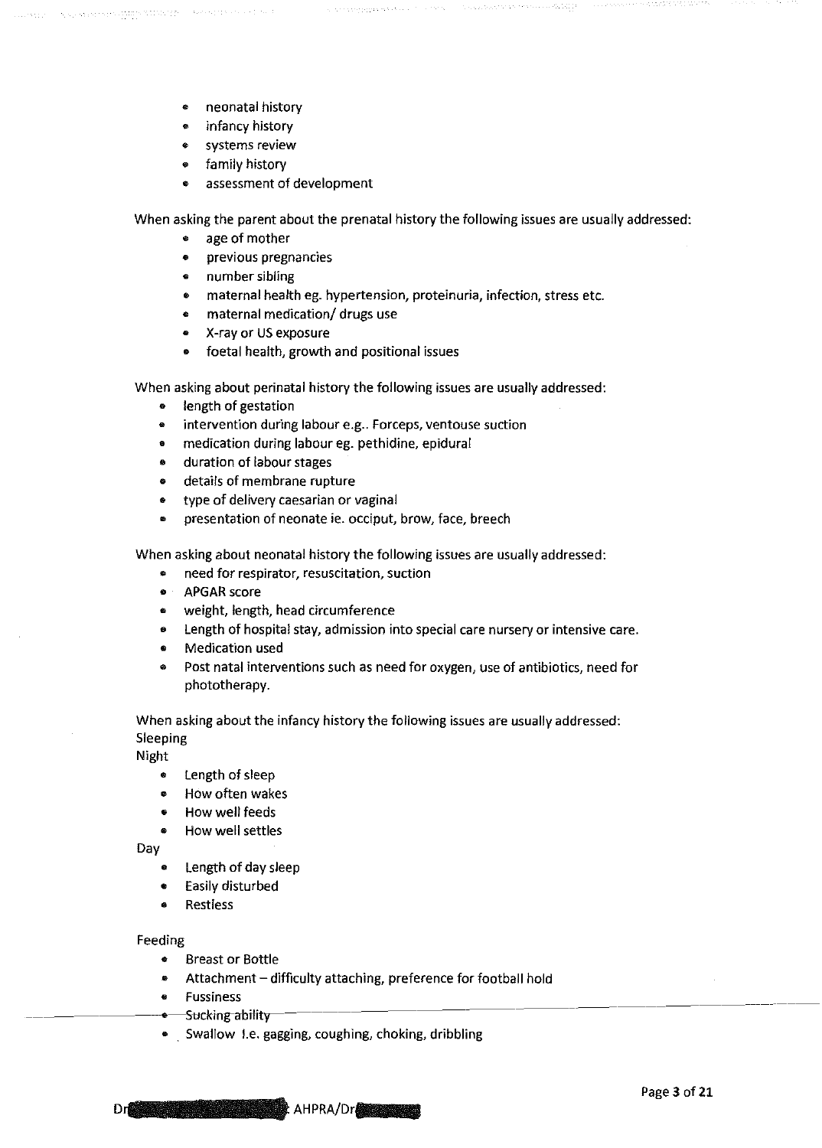- neonatal history
- infancy history
- systems review
- family history
- assessment of development

When asking the parent about the prenatal history the following issues are usually addressed:

- age of mother
- previous pregnancies
- number sibling
- maternal health eg. hypertension, proteinuria, infection, stress etc.
- maternal medication/ drugs use
- X-ray or US exposure
- foetal health, growth and positional issues

When asking about perinatal history the following issues are usually addressed:

- length of gestation
- intervention during labour e.g.. Forceps, ventouse suction
- medication during labour eg. pethidine, epidural
- duration of labour stages
- details of membrane rupture
- type of delivery caesarian or vaginal
- presentation of neonate ie. occiput, brow, face, breech

When asking about neonatal history the following issues are usually addressed:

- need for respirator, resuscitation, suction
- APGAR score
- weight, length, head circumference
- Length of hospital stay, admission into special care nursery or intensive care.
- Medication used
- Post natal interventions such as need for oxygen, use of antibiotics, need for phototherapy.

When asking about the infancy history the following issues are usually addressed: Sleeping

Night

- Length of sleep
- How often wakes
- How well feeds
- How well settles

Day

- Length of day sleep
- Easily disturbed
- Restless

Feeding

- Breast or Bottle
- Attachment difficulty attaching, preference for football hold
- **Fussiness**
- $-$ -Sucking-ability-
- \_ Swallow I.e. gagging, coughing, choking, dribbling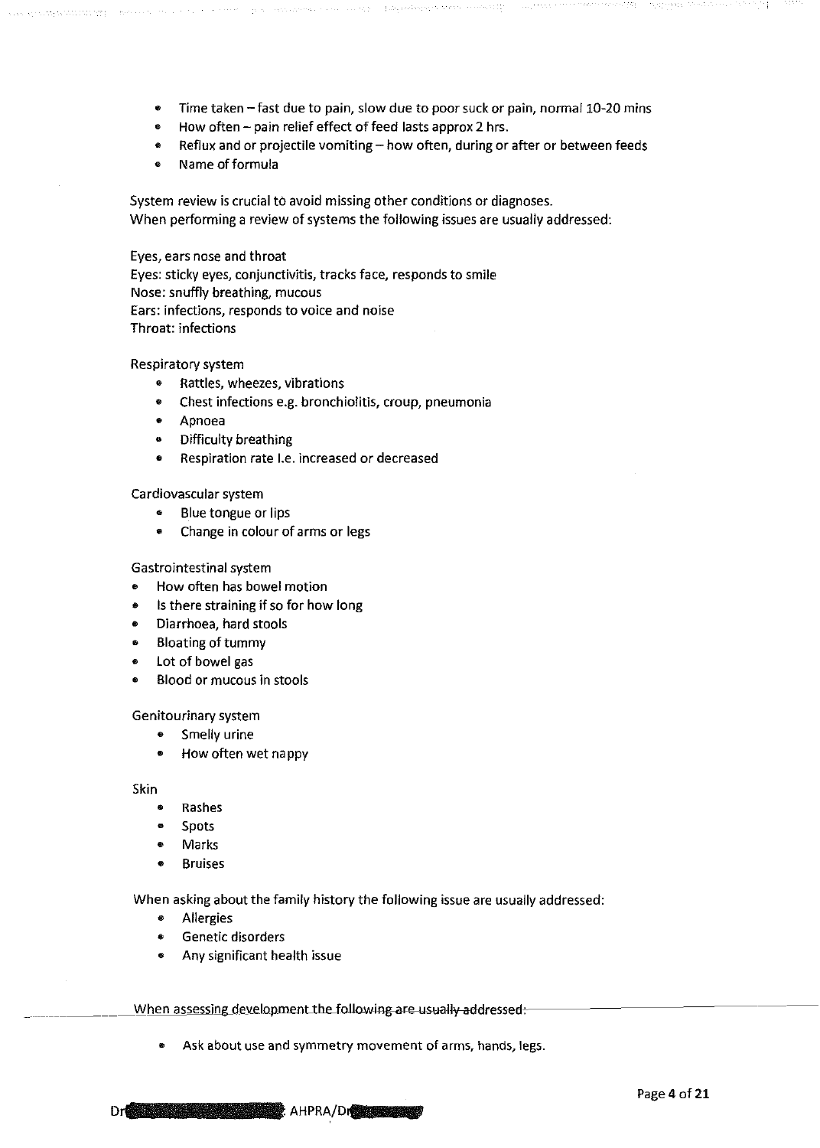- Time taken fast due to pain, slow due to poor suck or pain, normal 10-20 mins
- How often pain relief effect of feed lasts approx 2 hrs.
- Reflux and or projectile vomiting- how often, during or after or between feeds
- Name of formula

System review is crucial to avoid missing other conditions or diagnoses. When performing a review of systems the following issues are usually addressed:

Eyes, ears nose and throat Eyes: sticky eyes, conjunctivitis, tracks face, responds to smile Nose: snuffly breathing, mucous Ears: infections, responds to voice and noise Throat: infections

Respiratory system

- Rattles, wheezes, vibrations
- Chest infections e.g. bronchiolitis, croup, pneumonia
- Apnoea
- Difficulty breathing
- Respiration rate I.e. increased or decreased

Cardiovascular system

- Blue tongue or lips
- Change in colour of arms or legs

### Gastrointestinal system

- How often has bowel motion
- Is there straining if so for how long
- Diarrhoea, hard stools
- Bloating of tummy
- Lot of bowel gas
- Blood or mucous in stools

### Genitourinary system

- Smelly urine
- How often wet nappy

Skin

- Rashes
- Spots
- Marks
- Bruises

When asking about the family history the following issue are usually addressed:

- Allergies
- Genetic disorders
- Any significant health issue

When assessing development the following are usually addressed:-

• Ask about use and symmetry movement of arms, hands, legs.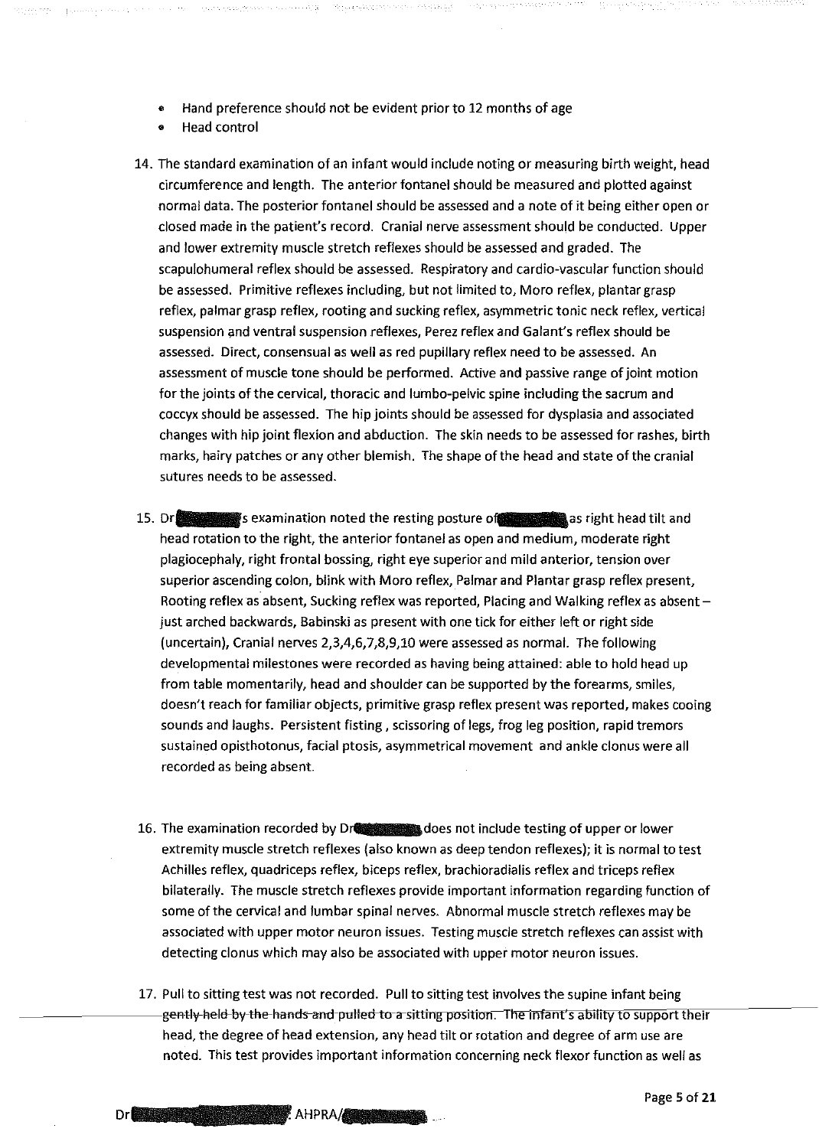- Hand preference should not be evident prior to 12 months of age
- Head control
- 14. The standard examination of an infant would include noting or measuring birth weight, head circumference and length. The anterior fontanel should be measured and plotted against normal data. The posterior fontanel should be assessed and a note of it being either open or closed made in the patient's record. Cranial nerve assessment should be conducted. Upper and lower extremity muscle stretch reflexes should be assessed and graded. The scapulohumeral reflex should be assessed. Respiratory and cardio-vascular function should be assessed. Primitive reflexes including, but not limited to, Mora reflex, plantar grasp reflex, palmar grasp reflex, rooting and sucking reflex, asymmetric tonic neck reflex, vertical suspension and ventral suspension reflexes, Perez reflex and Galant's reflex should be assessed. Direct, consensual as well as red pupillary reflex need to be assessed. An assessment of muscle tone should be performed. Active and passive range of joint motion for the joints of the cervical, thoracic and !umbo-pelvic spine including the sacrum and coccyx should be assessed. The hip joints should be assessed for dysplasia and associated changes with hip joint flexion and abduction. The skin needs to be assessed for rashes, birth marks, hairy patches or any other blemish. The shape of the head and state of the cranial sutures needs to be assessed.
- 15. Dress examination noted the resting posture of an assessment head tilt and head rotation to the right, the anterior fontanel as open and medium, moderate right plagiocephaly, right frontal bossing, right eye superior and mild anterior, tension over superior ascending colon, blink with More reflex, Palmar and Plantar grasp reflex present, Rooting reflex as absent, Sucking reflex was reported, Placing and Walking reflex as absentjust arched backwards, Babinski as present with one tick for either left or right side (uncertain), Cranial nerves 2,3,4,6,7,8,9,10 were assessed as normal. The following developmental milestones were recorded as having being attained: able to hold head up from table momentarily, head and shoulder can be supported by the forearms, smiles, doesn't reach for familiar objects, primitive grasp reflex present was reported, makes cooing sounds and laughs. Persistent fisting, scissoring of legs, frog leg position, rapid tremors sustained opisthotonus, facial ptosis, asymmetrical movement and ankle clonus were all recorded as being absent.
- 16. The examination recorded by Dress and include testing of upper or lower extremity muscle stretch reflexes (also known as deep tendon reflexes); it is normal to test Achilles reflex, quadriceps reflex, biceps reflex, brachioradialis reflex and triceps reflex bilaterally. The muscle stretch reflexes provide important information regarding function of some ofthe cervical and lumbar spinal nerves. Abnormal muscle stretch reflexes may be associated with upper motor neuron issues. Testing muscle stretch reflexes can assist with detecting clonus which may also be associated with upper motor neuron issues.
- 17. Pull to sitting test was not recorded. Pull to sitting test involves the supine infant being gently-held-by-the-hands-and-pulled to a sitting position. The infant's ability to support their head, the degree of head extension, any head tilt or rotation and degree of arm use are noted. This test provides important information concerning neck flexor function as well as

Dr**eed and a structure of the AHPRA/**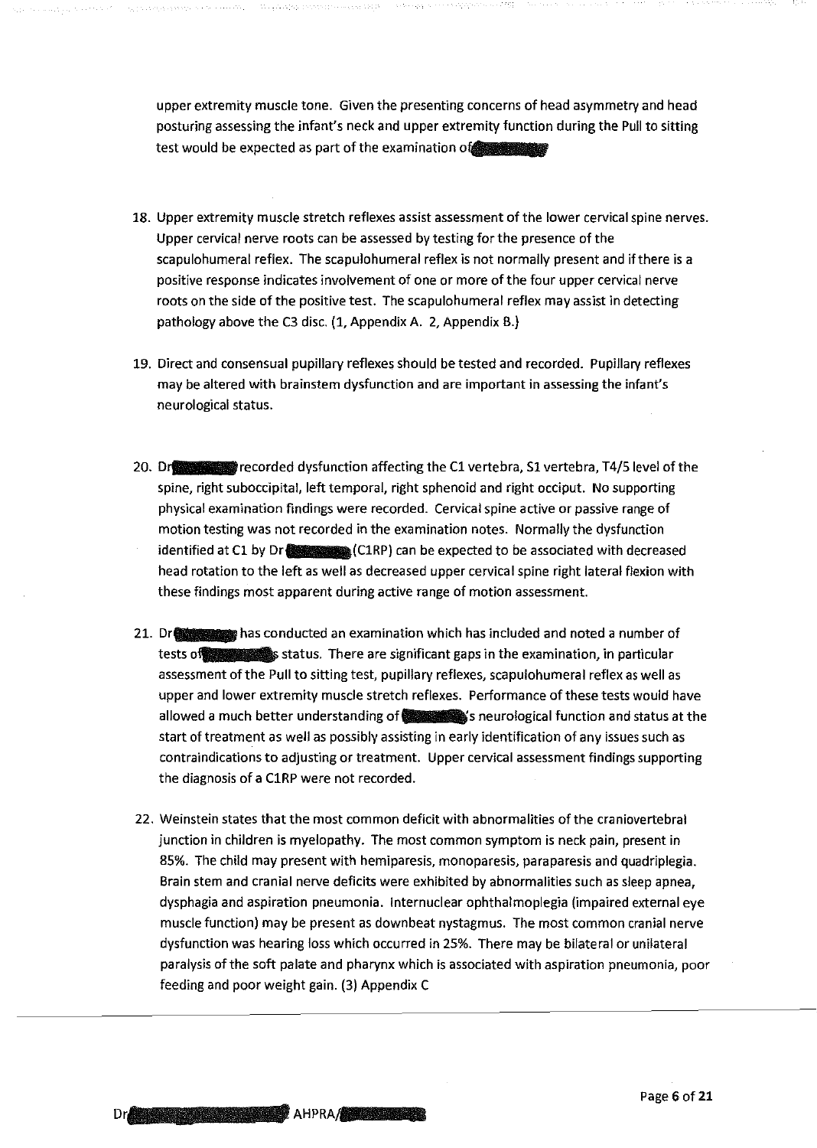upper extremity muscle tone. Given the presenting concerns of head asymmetry and head posturing assessing the infant's neck and upper extremity function during the Pull to sitting test would be expected as part of the examination of the state in the state of the state in the state of the state of the state in the state of the state of the state of the state of the state of the state of the state of

- 18. Upper extremity muscle stretch reflexes assist assessment of the lower cervical spine nerves. Upper cervical nerve roots can be assessed by testing for the presence of the scapulohumeral reflex. The scapulohumeral reflex is not normally present and if there is a positive response indicates involvement of one or more of the four upper cervical nerve roots on the side of the positive test. The scapulohumeral reflex may assist in detecting pathology above the C3 disc. (1, Appendix A. 2, Appendix B.)
- 19. Direct and consensual pupillary reflexes should be tested and recorded. Pupillary reflexes may be altered with brainstem dysfunction and are important in assessing the infant's neurological status.
- 20. Droggene in ecorded dysfunction affecting the C1 vertebra, S1 vertebra, T4/5 level of the spine, right suboccipital, left temporal, right sphenoid and right occiput. No supporting physical examination findings were recorded. Cervical spine active or passive range of motion testing was not recorded in the examination notes. Normally the dysfunction identified at C1 by Dr (ClRP) can be expected to be associated with decreased head rotation to the left as well as decreased upper cervical spine right lateral flexion with these findings most apparent during active range of motion assessment.
- 21. Dr<sub>o</sub> and has conducted an examination which has included and noted a number of tests of status. There are significant gaps in the examination, in particular assessment of the Pull to sitting test, pupillary reflexes, scapulohumeral reflex as well as upper and lower extremity muscle stretch reflexes. Performance of these tests would have allowed a much better understanding of  $\blacksquare$  is neurological function and status at the start of treatment as well as possibly assisting in early identification of any issues such as contra indications to adjusting or treatment. Upper cervical assessment findings supporting the diagnosis of a ClRP were not recorded.
- 22. Weinstein states that the most common deficit with abnormalities of the craniovertebral junction in children is myelopathy. The most common symptom is neck pain, present in 85%. The child may present with hemiparesis, monoparesis, paraparesis and quadriplegia. Brain stem and cranial nerve deficits were exhibited by abnormalities such as sleep apnea, dysphagia and aspiration pneumonia. Internuclear ophthalmoplegia (impaired external eye muscle function) may be present as downbeat nystagmus. The most common cranial nerve dysfunction was hearing loss which occurred in 25%. There may be bilateral or unilateral paralysis of the soft palate and pharynx which is associated with aspiration pneumonia, poor feeding and poor weight gain. (3) Appendix C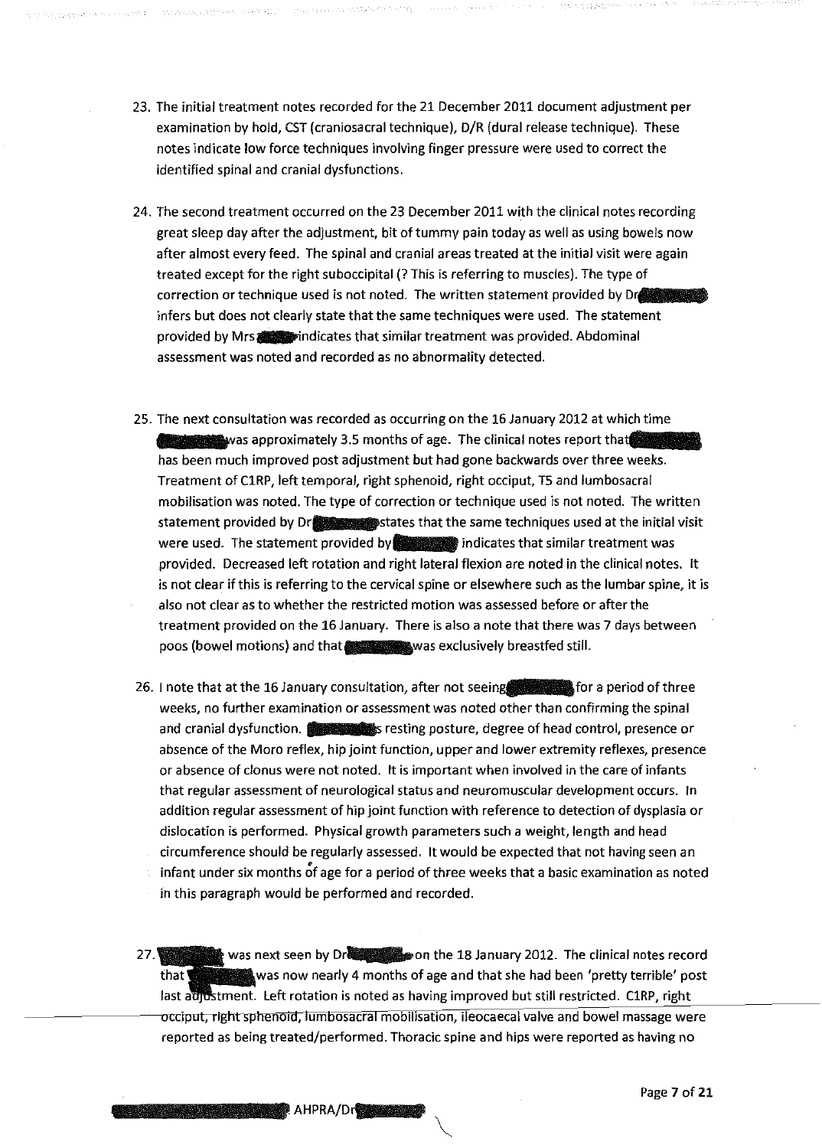- 23. The initial treatment notes recorded for the 21 December 2011 document adjustment per examination by hold, CST (craniosacral technique), D/R (dural release technique). These notes indicate low force techniques involving finger pressure were used to correct the identified spinal and cranial dysfunctions.
- 24. The second treatment occurred on the 23 December 2011 with the clinical notes recording great sleep day after the adjustment, bit of tummy pain today as well as using bowels now after almost every feed. The spinal and cranial areas treated at the initial visit were again treated except for the right suboccipital(? This is referring to muscles). The type of correction or technique used is not noted. The written statement provided by Dre infers but does not clearly state that the same techniques were used. The statement provided by Mrs  $\frac{1}{2}$  indicates that similar treatment was provided. Abdominal assessment was noted and recorded as no abnormality detected.
- 25. The next consultation was recorded as occurring on the 16 January 2012 at which time<br>was approximately 3.5 months of age. The clinical notes report that has been much improved post adjustment but had gone backwards over three weeks. Treatment of C1RP, left temporal, right sphenoid, right occiput, T5 and lumbosacral mobilisation was noted. The type of correction or technique used is not noted. The written statement provided by Dr states that the same techniques used at the initial visit were used. The statement provided indicates that similar treatment was provided. Decreased left rotation and right lateral flexion are noted in the clinical notes. It is not clear if this is referring to the cervical spine or elsewhere such as the lumbar spine, it is also not clear as to whether the restricted motion was assessed before or after the treatment provided on the 16 January. There is also a note that there was 7 days between poos (bowel motions) and that was exclusively breastfed still.
- 26. I note that at the 16 January consultation, after not seeing for a period of three weeks, no further examination or assessment was noted other than confirming the spinal and cranial dysfunction. ••••1s resting posture, degree of head control, presence or absence of the Mora reflex, hip joint function, upper and lower extremity reflexes, presence or absence of clonus were not noted. It is important when involved in the care of infants that regular assessment of neurological status and neuromuscular development occurs. In addition regular assessment of hip joint function with reference to detection of dysplasia or dislocation is performed. Physical growth parameters such a weight, length and head circumference should be regularly assessed. It would be expected that not having seen an • infant under six months of age for a period of three weeks that a basic examination as noted in this paragraph would be performed and recorded.
- 27. was next seen by Dr on the 18 January 2012. The clinical notes record that was now nearly 4 months of age and that she had been 'pretty terrible' post last aujustment. Left rotation is noted as having improved but still restricted. C1RP, right occiput, right sphenoid, lumbosacral mobilisation, ileocaecal valve and bowel massage were reported as being treated/performed. Thoracic spine and hips were reported as having no

AHPRA/Dr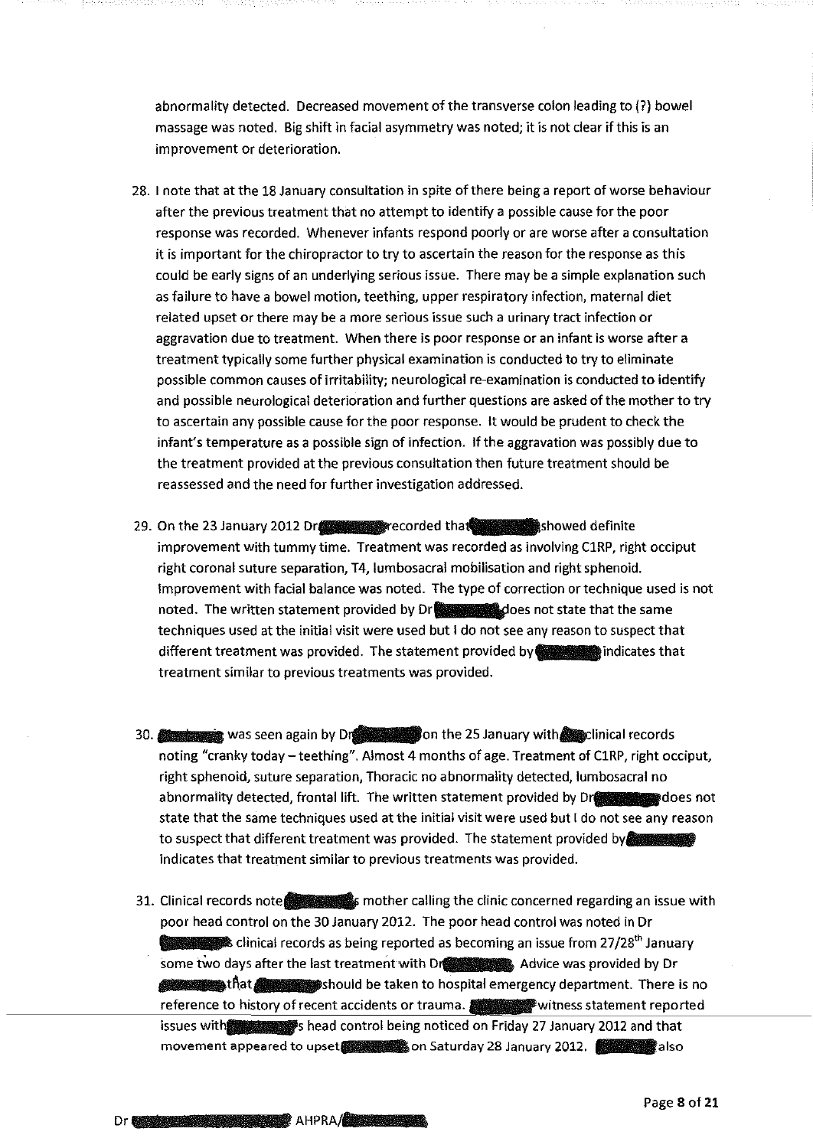abnormality detected. Decreased movement of the transverse colon leading to(?) bowel massage was noted. Big shift in facial asymmetry was noted; it is not clear if this is an improvement or deterioration.

- 28. I note that at the 18 January consultation in spite of there being a report of worse behaviour after the previous treatment that no attempt to identify a possible cause for the poor response was recorded. Whenever infants respond poorly or are worse after a consultation it is important for the chiropractor to try to ascertain the reason for the response as this could be early signs of an underlying serious issue. There may be a simple explanation such as failure to have a bowel motion, teething, upper respiratory infection, maternal diet related upset or there may be a more serious issue such a urinary tract infection or aggravation due to treatment. When there is poor response or an infant is worse after a treatment typically some further physical examination is conducted to try to eliminate possible common causes of irritability; neurological re-examination is conducted to identify and possible neurological deterioration and further questions are asked of the mother to try to ascertain any possible cause for the poor response. It would be prudent to check the infant's temperature as a possible sign of infection. If the aggravation was possibly due to the treatment provided at the previous consultation then future treatment should be reassessed and the need for further investigation addressed.
- 29. On the 23 January 2012 Dr experience are corded that showed definite improvement with tummy time. Treatment was recorded as involving ClRP, right occiput right coronal suture separation, T4, lumbosacral mobilisation and right sphenoid. Improvement with facial balance was noted. The type of correction or technique used is not noted. The written statement provided by Dr 3 3 Indiana Books not state that the same techniques used at the initial visit were used but I do not see any reason to suspect that different treatment was provided. The statement provided by indicates that treatment similar to previous treatments was provided.
- 30. We was seen again by Dream and the 25 January with a clinical records noting "cranky today- teething". Almost 4 months of age. Treatment of ClRP, right occiput, right sphenoid, suture separation, Thoracic no abnormality detected, lumbosacral no abnormality detected, frontal lift. The written statement provided by Dress and does not state that the same techniques used at the initial visit were used but I do not see any reason to suspect that different treatment was provided. The statement provided by indicates that treatment similar to previous treatments was provided.
- 31. Clinical records note mother mother calling the clinic concerned regarding an issue with poor head control on the 30 January 2012. The poor head control was noted in Dr clinical records as being reported as becoming an issue from 27/28<sup>th</sup> January some two days after the last treatment with Dress and Advice was provided by Dr dellarge that  $\alpha$  should be taken to hospital emergency department. There is no reference to history of recent accidents or trauma. Statement reported issues with see head control being noticed on Friday 27 January 2012 and that movement appeared to upset also and Saturday 28 January 2012. **Also also** also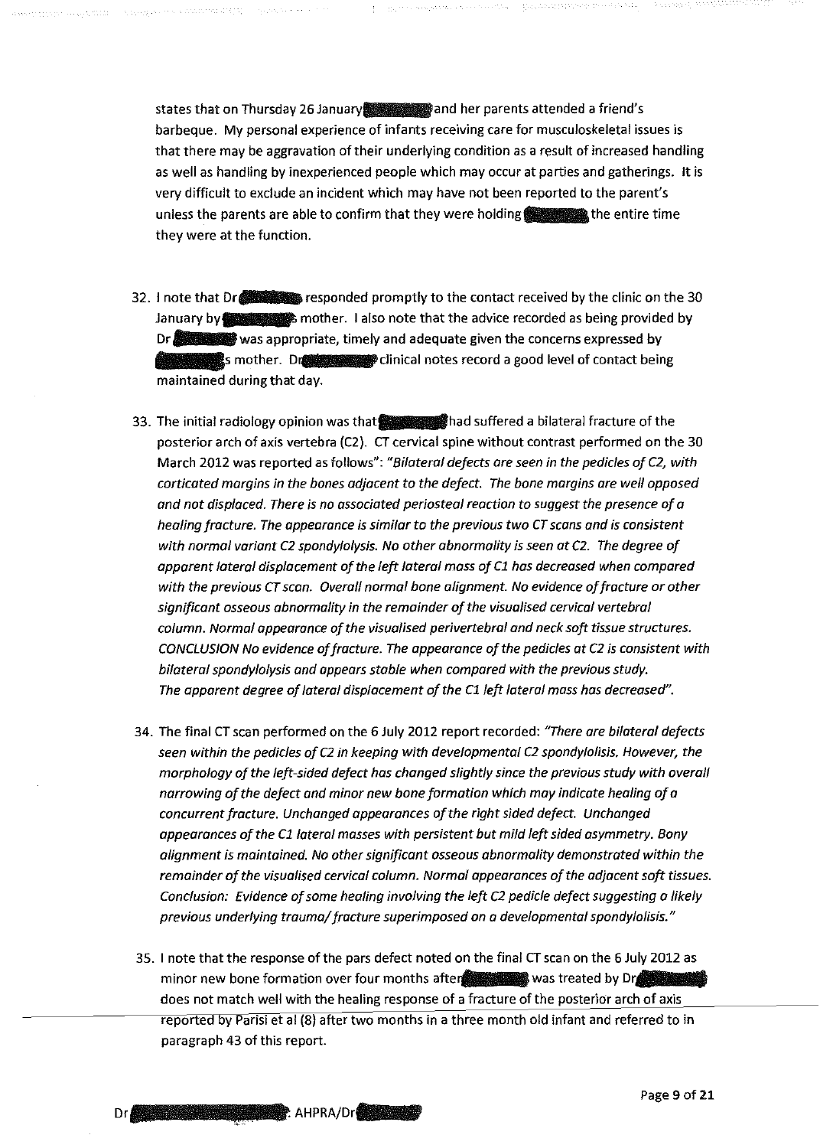states that on Thursday 26 January and her parents attended a friend's barbeque. My personal experience of infants receiving care for musculoskeletal issues is that there may be aggravation of their underlying condition as a result of increased handling as well as handling by inexperienced people which may occur at parties and gatherings. It is very difficult to exclude an incident which may have not been reported to the parent's unless the parents are able to confirm that they were holding the setting the entire time they were at the function.

- 32. I note that Dr responded promptly to the contact received by the clinic on the 30 January by mother. I also note that the advice recorded as being provided by Dr was appropriate, timely and adequate given the concerns expressed by s mother. Dress and clinical notes record a good level of contact being maintained during that day.
- 33. The initial radiology opinion was that **gives a standard suffered a bilateral fracture of the** posterior arch of axis vertebra (C2). CT cervical spine without contrast performed on the 30 March 2012 was reported as follows": *"Biloteral defects are seen in the pedicles of C2, with carticated margins in the bones adjacent to the defect. The bone margins are well opposed and not displaced. There is no associated periosteal reaction to suggest the presence of a healing fracture. The appearance is similar to the previous two CT scans and is consistent with normal variant C2 spondylolysis. No other abnormality is seen at C2. The degree of apparent lateral displacement of the left lateral mass of Cl has decreased when compared with the previous* CT *scan. Overall normal bone alignment. No evidence of fracture or other significant osseous abnormality in the remainder of the visualised cervical vertebral column. Normal appearance of the visualised perivertebral and neck soft tissue structures. CONCLUSION No evidence of fracture. The appearance of the pedic/es at C2 is consistent with bilateral spondylolysis and appears stable when compared with the previous study. The apparent degree of lateral displacement of the C1/eft lateral mass has decreased".*
- 34. The final CT scan performed on the 6 July 2012 report recorded: *"There are bilateral defects seen within the pedicles of C2 in keeping with developmental C2 spondy/olisis. However, the morphology of the /eft-sided defect has changed slightly since the previous study with overall narrowing of the defect and minor new bone formation which may indicate healing of o concurrent fracture. Unchanged appearances of the right sided defect. Unchanged appearances of the Cllateral masses with persistent but mild left sided asymmetry. Bony alignment is maintained. No other significant osseous abnormality demonstrated within the remainder of the visualised cervical column. Normal appearances of the adjacent soft tissues. Conclusion: Evidence of some healing involving the left C2 pedicle defect suggesting o likely previous underlying trauma/ fracture superimposed on a developmental spondylolisis."*
- 35. I note that the response of the pars defect noted on the final CT scan on the 6 July 2012 as minor new bone formation over four months after was treated by Dr. does not match well with the healing response of a fracture of the posterior arch of axis reported by Parisi et at (8) after two months in a three month old infant and referred to in paragraph 43 of this report.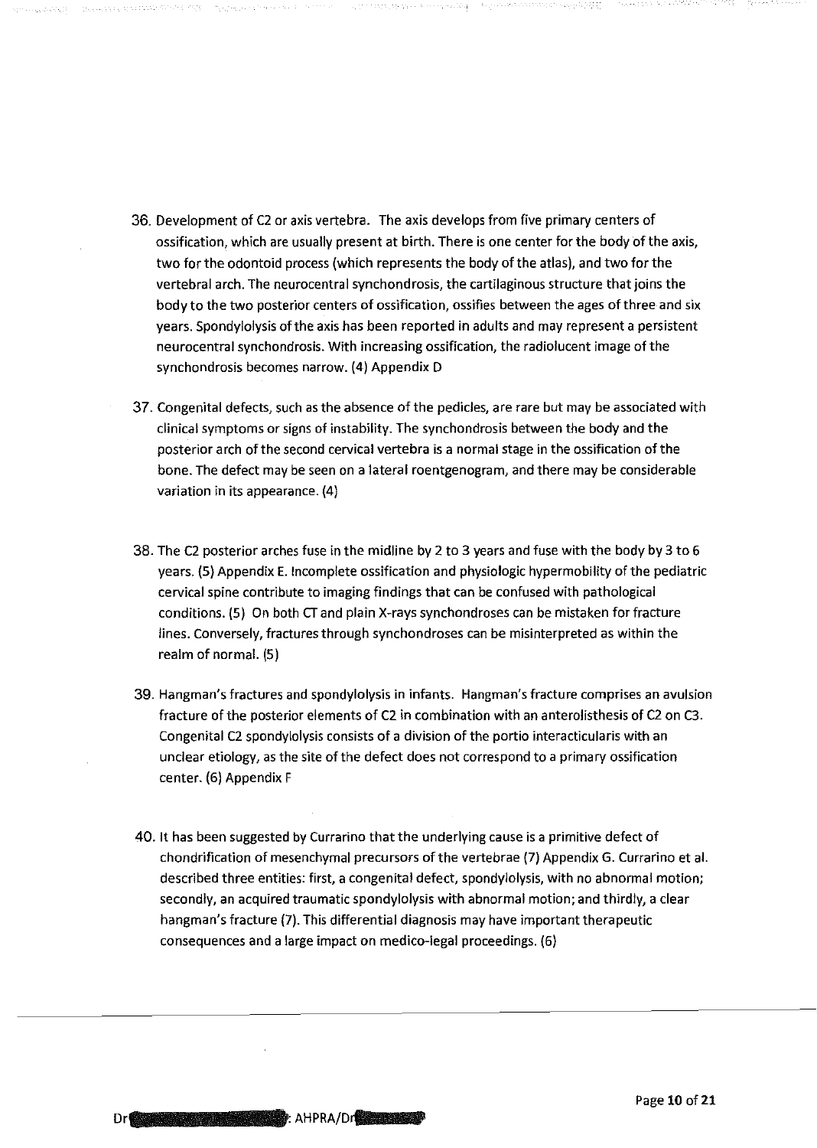- 36. Development of C2 or axis vertebra. The axis develops from five primary centers of ossification, which are usually present at birth. There is one center for the body of the axis, two for the odontoid process (which represents the body of the atlas), and two for the vertebral arch. The neurocentral synchondrosis, the cartilaginous structure that joins the body to the two posterior centers of ossification, ossifies between the ages of three and six years. Spondylolysis of the axis has been reported in adults and may represent a persistent neurocentral synchondrosis. With increasing ossification, the radiolucent image of the synchondrosis becomes narrow. (4) Appendix D
- 37. Congenital defects, such as the absence of the pedicles, are rare but may be associated with clinical symptoms or signs of instability. The synchondrosis between the body and the posterior arch of the second cervical vertebra is a normal stage in the ossification of the bone. The defect may be seen on a lateral roentgenogram, and there may be considerable variation in its appearance. (4)
- 38. The C2 posterior arches fuse in the midline by 2 to 3 years and fuse with the body by 3 to 6 years. (S) Appendix E. Incomplete ossification and physiologic hypermobility of the pediatric cervical spine contribute to imaging findings that can be confused with pathological conditions. (5) On both CT and plain X-rays synchondroses can be mistaken for fracture lines. Conversely, fractures through synchondroses can be misinterpreted as within the realm of normal. (5)
- 39. Hangman's fractures and spondylolysis in infants. Hangman's fracture comprises an avulsion fracture of the posterior elements of C2 in combination with an anterolisthesis of C2 on C3. Congenital C2 spondylolysis consists of a division of the portio interacticularis with an unclear etiology, as the site of the defect does not correspond to a primary ossification center. (6) Appendix F
- 40. It has been suggested by Currarino that the underlying cause is a primitive defect of chondrification of mesenchymal precursors of the vertebrae (7) Appendix G. Currarino eta!. described three entities: first, a congenital defect, spondylolysis, with no abnormal motion; secondly, an acquired traumatic spondylolysis with abnormal motion; and thirdly, a clear hangman's fracture (7). This differential diagnosis may have important therapeutic consequences and a large impact on medico-legal proceedings. (6)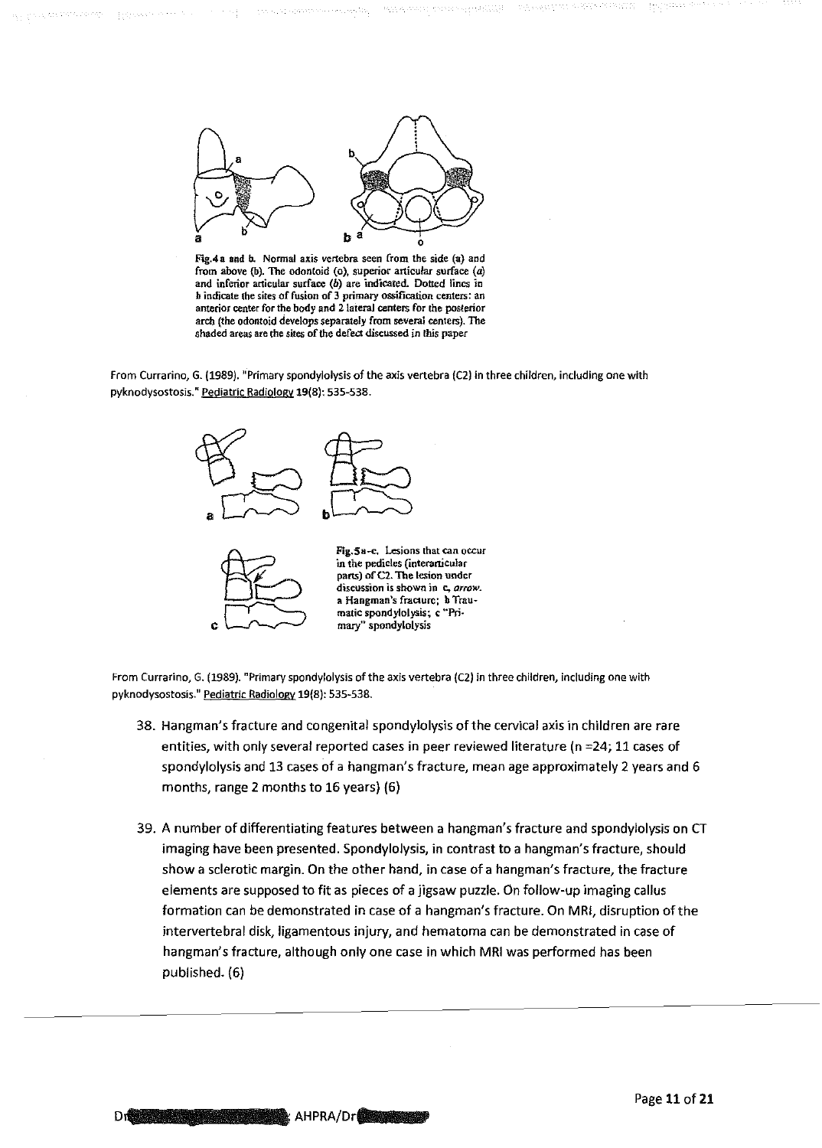

**All the distances well** 

Fig.4a and **b.** Normal axis vertebra seen from the side (a) and **from above (b). The odontoid (o), superior articular surface (a} and inferior articular surface** *(b)* **are indicated. Dotted lines in b indicate the sires of fusion of 3 primary ossification centers: an anterior center for the body and 2lateral centers for the posterior**  arch (the odontoid develops separately from several centers). The shaded areas are the sites of the defect discussed in this paper

**From Currarino, G. (1989). "Primary spondylolysis of the axis vertebra {C2) in three children, including one with pyknodysostosis." Pediatric Radiology 19(8): 535-538.** 



**From Currarino, G. (1989). "Primary spondylolysis of the axis vertebra {C2) in three children, including one with pyknodysostosis." Pediatric Radiology 19{8): 535-538.** 

- 38. Hangman's fracture and congenital spondylolysis of the cervical axis in children are rare entities, with only several reported cases in peer reviewed literature (n =24; 11 cases of spondylolysis and 13 cases of a hangman's fracture, mean age approximately 2 years and 6 months, range 2 months to 16 years) (6)
- 39. A number of differentiating features between a hangman's fracture and spondylolysis on CT imaging have been presented. Spondylolysis, in contrast to a hangman's fracture, should show a sclerotic margin. On the other hand, in case of a hangman's fracture, the fracture elements are supposed to fit as pieces of a jigsaw puzzle. On follow-up imaging callus formation can be demonstrated in case of a hangman's fracture. On MRI, disruption of the intervertebral disk, ligamentous injury, and hematoma can be demonstrated in case of hangman's fracture, although only one case in which MRI was performed has been published. {6)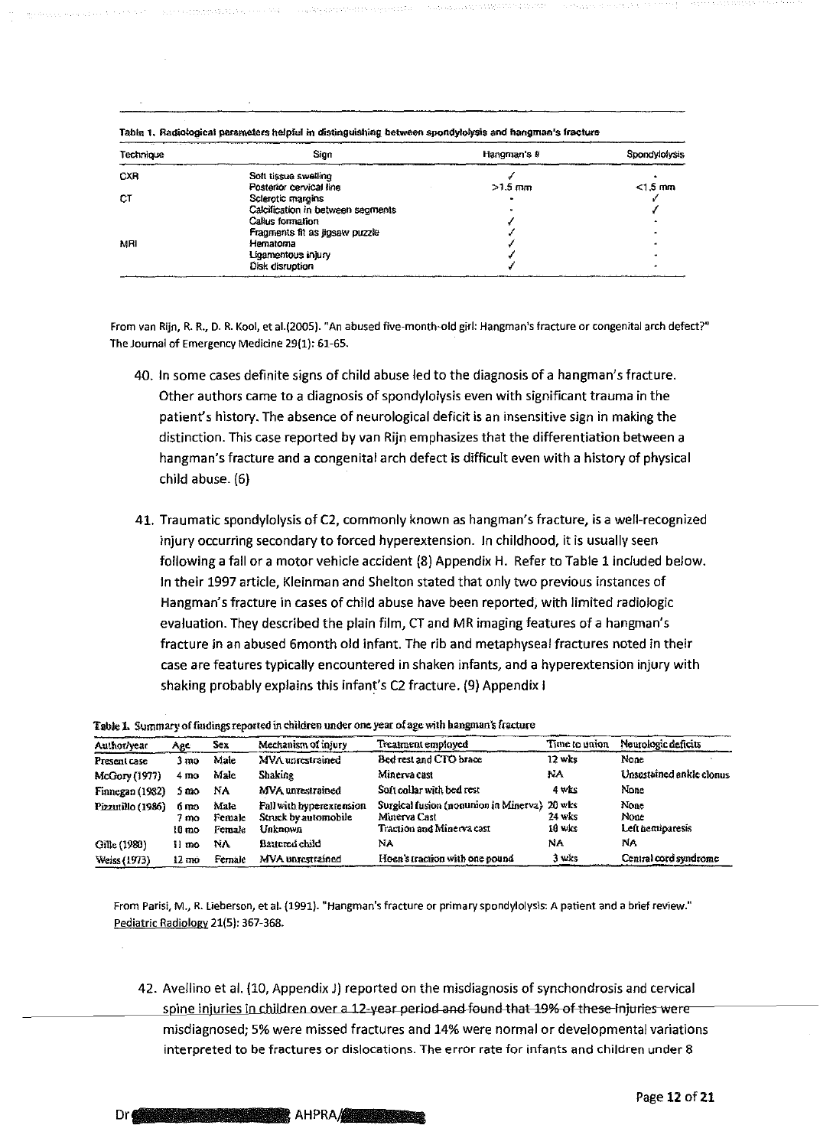| Technique  | Sign                              | Hangman's # | Spondylolysis |
|------------|-----------------------------------|-------------|---------------|
| <b>CXR</b> | Soft ussue swelling               |             |               |
|            | Posterior cervical line           | $>1.5$ mm   | $<1.5$ mm     |
| СT         | Scierotic margins                 |             |               |
|            | Calcification in between segments |             |               |
|            | Callus formation                  |             |               |
|            | Fragments fit as jigsaw puzzle    |             |               |
| MRI        | Hematoma                          |             |               |
|            | Ligamentous injury                |             |               |
|            | Disk disruption                   |             |               |

Table 1. Radiological perameters helpful in distinguishing between spondylolysis and hangman's fracture

**From van Rijn, R. R., D. R. Kool, et al.(2005). "An abused five-month-old girl: Hangman's fracture or congenital arch defect?11 The Journal of Emergency Medicine 29(1}: 61-65.** 

- 40. In some cases definite signs of child abuse led to the diagnosis of a hangman's fracture. Other authors came to a diagnosis of spondylolysis even with significant trauma in the patient's history. The absence of neurological deficit is an insensitive sign in making the distinction. This case reported by van Rijn emphasizes that the differentiation between a hangman's fracture and a congenital arch defect is difficult even with a history of physical child abuse. (6)
- 41. Traumatic spondylolysis of C2, commonly known as hangman's fracture, is a well-recognized injury occurring secondary to forced hyperextension. In childhood, it is usually seen following a fall or a motor vehicle accident (8) Appendix H. Refer to Table 1 included below. In their 1997 article, Kleinman and Shelton stated that only two previous instances of Hangman's fracture in cases of child abuse have been reported, with limited radiologic evaluation. They described the plain film, CT and MR imaging features of a hangman's fracture in an abused 6month old infant. The rib and metaphyseal fractures noted in their case are features typically encountered in shaken infants, and a hyperextension injury with shaking probably explains this infant's C2 fracture. (9) Appendix I

Table 1. Summary of findings reported in children under one year of age with hangman's fracture

| Author/year       | Адс                   | Sex                      | Mechanism of injury                                         | Treatment employed                                                                        | Time to union        | Neurologic deficits              |
|-------------------|-----------------------|--------------------------|-------------------------------------------------------------|-------------------------------------------------------------------------------------------|----------------------|----------------------------------|
| Present case      | 3 mo                  | Male                     | <b>MVA</b> unrestrained                                     | Bed rest and CTO brace                                                                    | 12 wks               | None                             |
| McGory (1977)     | $4 \text{ mo}$        | Male                     | Shakine                                                     | Minerva cast                                                                              | NA.                  | Unsustained ankle clonus         |
| Finnegan (1982)   | 5 mo                  | NA                       | MVA unrestrained                                            | Soft collar with bed rest                                                                 | 4 whs                | None                             |
| Pizzutillo (1986) | 6 mo<br>7 mo<br>10 mo | Male<br>Female<br>Female | Fall with hyperextension<br>Struck by automobile<br>Unknown | Surgical fusion (nonunion in Minerva) 20 wks<br>Minerva Cast<br>Traction and Minerva cast | $24$ wks<br>$10$ wks | None<br>None<br>Left hemiparesis |
| Gille (1980)      | 11 mo                 | NA.                      | Baitered child                                              | NA                                                                                        | NA                   | NA                               |
| Weiss (1973)      | 12 пю                 | Female                   | MVA unrestrained                                            | Hoen's traction with one pound                                                            | 3 wrs                | Central cord syndrome            |

**From Parisi, M., R. Ueberson, et al. (1991). "Hangman's fracture or primary spondylolysis: A patient and a brief review."**  Pediatric Radiology 21(5): 367-368.

42. Avellino et al. (10, Appendix J) reported on the misdiagnosis of synchondrosis and cervical spine injuries in children over a 12-year period and found that 19% of these injuries were misdiagnosed; S% were missed fractures and 14% were normal or developmental variations **interpreted to be fractures or dislocations. The error rate for infants and children under 8**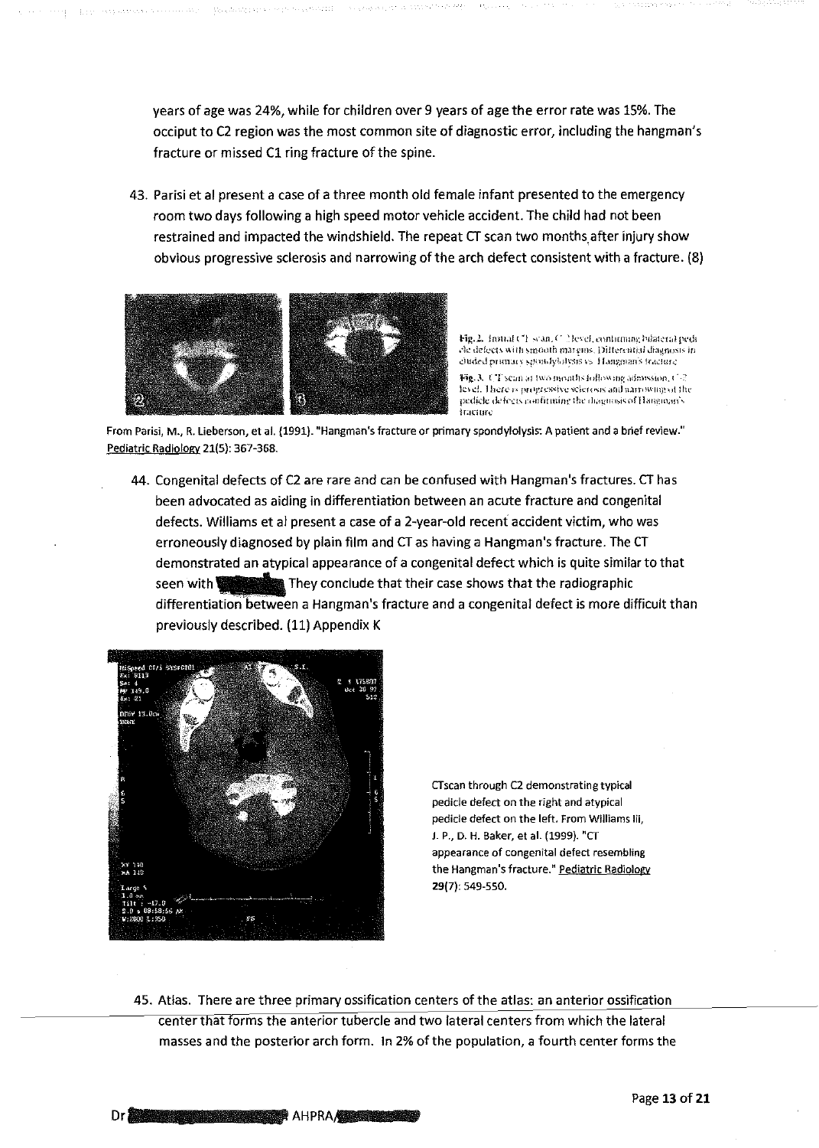years of age was 24%, while for children over 9 years of age the error rate was 15%. The occiput to C2 region was the most common site of diagnostic error, including the hangman's fracture or missed C1 ring fracture of the spine.

43. Parisi et al present a case of a three month old female infant presented to the emergency room two days following a high speed motor vehicle accident. The child had not been restrained and impacted the windshield. The repeat CT scan two months after injury show obvious progressive sclerosis and narrowing of the arch defect consistent with a fracture. (8)



Hg. 2. Instial Cl scan, C ? level, confirming bilateral pedi de defects with smooth margins. Differential diagnosis in chuded prumary spondylolysis vs. Hangman's fracture

1Hg, 3. ( T scan at two months following admission, C) level. There is progressive scleress and narrowing of the pedicle defects confirming the diagnosis of Hausingar's in:<br>Hacture

**From Parisi, M., R.lieberson, et al. (1991}. "Hangman's fracture or primary spondylolysis: A patient and a brief review."**  Pediatric Radiology 21(5): 367-368.

44. Congenital defects of C2 are rare and can be confused with Hangman's fractures. CT has been advocated as aiding in differentiation between an acute fracture and congenital defects. Williams et al present a case of a 2-year-old recent accident victim, who was erroneously diagnosed by plain film and CT as having a Hangman's fracture. The CT demonstrated an atypical appearance of a congenital defect which is quite similar to that derects. Williams et al present a case of a 2-year-old recent accident victim, who<br>erroneously diagnosed by plain film and CT as having a Hangman's fracture. The<br>demonstrated an atypical appearance of a congenital defect w differentiation between a Hangman's fracture and a congenital defect is more difficult than previously described. (11) Appendix K



**CTscan through C2 demonstrating typical pedicle defect on the right and atypical pedicle defect on the left. From Williams Iii,**  J.P., D. H. Baker, et al. (1999). "CT **appearance of congenital defect resembling the Hangman's fracture." Pediatric Radiology**  29(7): 549·550.

45. Atlas. There are three primary ossification centers of the atlas: an anterior ossification center that forms the anterior tubercle and two lateral centers from which the lateral masses and the posterior arch form. In 2% of the population, a fourth center forms the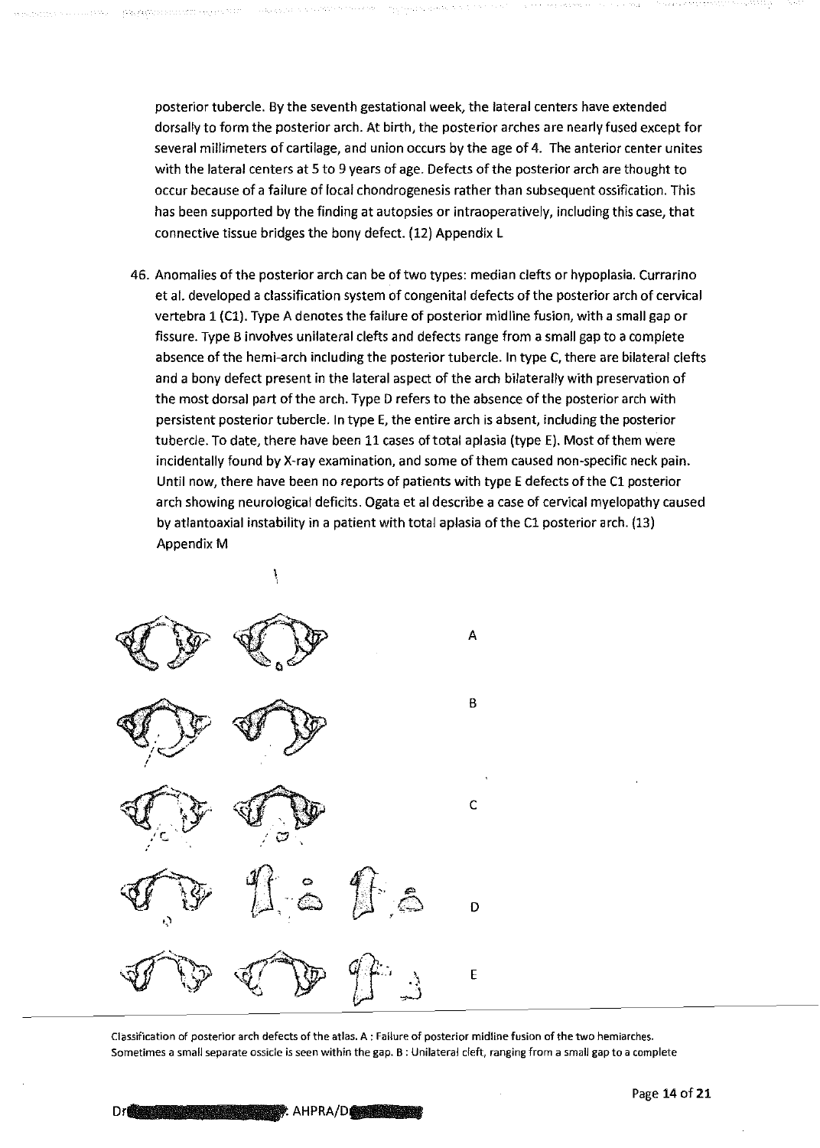posterior tubercle. By the seventh gestational week, the lateral centers have extended dorsally to form the posterior arch. At birth, the posterior arches are nearly fused except for several millimeters of cartilage, and union occurs by the age of 4. The anterior center unites with the lateral centers at 5 to 9 years of age. Defects of the posterior arch are thought to occur because of a failure of local chondrogenesis rather than subsequent ossification. This has been supported by the finding at autopsies or intraoperatively, including this case, that connective tissue bridges the bony defect. (12) Appendix L

46. Anomalies of the posterior arch can be of two types: median clefts or hypoplasia. Currarino et al. developed a classification system of congenital defects of the posterior arch of cervical vertebra 1 (C1). Type A denotes the failure of posterior midline fusion, with a small gap or fissure. Type B involves unilateral clefts and defects range from a small gap to a complete absence of the hemi-arch including the posterior tubercle. In type C, there are bilateral clefts and a bony defect present in the lateral aspect of the arch bilaterally with preservation of the most dorsal part of the arch. Type D refers to the absence of the posterior arch with persistent posterior tubercle. In type E, the entire arch is absent, including the posterior tubercle. To date, there have been 11 cases of total aplasia (type E). Most of them were incidentally found by X-ray examination, and some of them caused non-specific neck pain. Until now, there have been no reports of patients with type E defects of the Cl posterior arch showing neurological deficits. Ogata et al describe a case of cervical myelopathy caused by atlantoaxial instability in a patient with total aplasia of the Cl posterior arch. {13) Appendix M



**Classification of posterior arch defects of the atlas. A : Failure of posterior midline fusion of the two hemiarches. Sometimes a small separate ossicle is seen within the gap. B : Unilateral cleft, ranging from a small gap to a complete**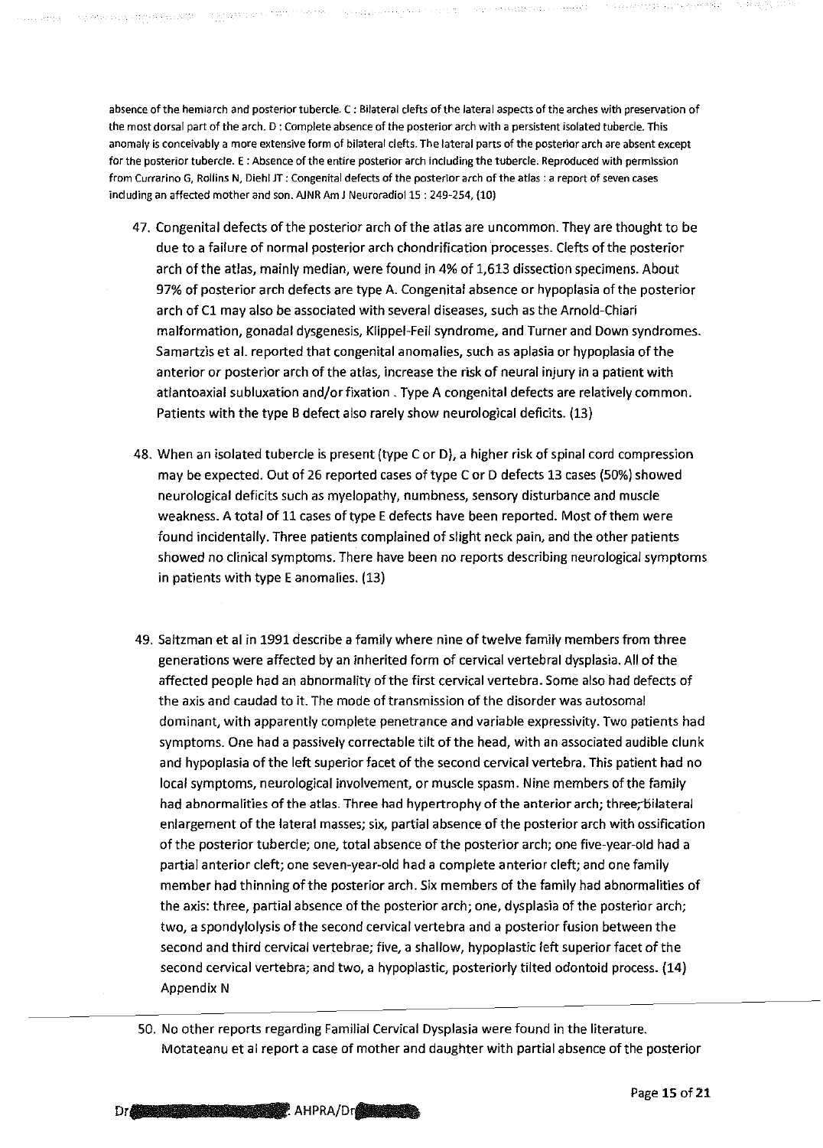**absence of the hemiarch and posterior tubercle. C : Bilateral clefts of the lateral aspects of the arches with preservation of the most dorsal part of the arch. D: Complete absence of the posterior arch with a persistent isolated tubercle. This anomaly is conceivably a more extensive form of bilateral clefts. The lateral parts of the posterior arch are absent except for the posterior tubercle. E :Absence of the entire posterior arch including the tubercle. Reproduced with permlssion from Currarino G, Rollins N, Diehl JT: Congenital defects of the posterior arch of the atlas : a report of seven cases including an affected mother and son. AJNR Am J Neuroradio115 : 249-254, (10)** 

- 47. Congenital defects of the posterior arch of the atlas are uncommon. They are thought to be due to a failure of normal posterior arch chondrification processes. Clefts of the posterior arch of the atlas, mainly median, were found in 4% of 1,613 dissection specimens. About 97% of posterior arch defects are type A. Congenital absence or hypoplasia of the posterior arch of C1 may also be associated with several diseases, such as the Arnold-Chiari malformation, gonadal dysgenesis, Klippei-Feil syndrome, and Turner and Down syndromes. Samartzis et al. reported that congenital anomalies, such as aplasia or hypoplasia of the anterior or posterior arch of the atlas, increase the risk of neural injury in a patient with atlantoaxial subluxation and/orfixation . Type A congenital defects are relatively common. Patients with the type B defect also rarely show neurological deficits. (13)
- 48. When an isolated tubercle is present (type Cor D), a higher risk of spinal cord compression may be expected. Out of 26 reported cases of type CorD defects 13 cases (50%) showed neurological deficits such as myelopathy, numbness, sensory disturbance and muscle weakness. A total of 11 cases of type E defects have been reported. Most of them were found incidentally. Three patients complained of slight neck pain, and the other patients showed no clinical symptoms. There have been no reports describing neurological symptoms in patients with type E anomalies. (13)
- 49. Saltzman et al in 1991 describe a family where nine of twelve family members from three generations were affected by an inherited form of cervical vertebral dysplasia. All of the affected people had an abnormality of the first cervical vertebra. Some also had defects of the axis and caudad to it. The mode of transmission of the disorder was autosomal dominant, with apparently complete penetrance and variable expressivity. Two patients had symptoms. One had a passively correctable tilt of the head, with an associated audible clunk and hypoplasia of the left superior facet of the second cervical vertebra. This patient had no local symptoms, neurological involvement, or muscle spasm. Nine members of the family had abnormalities of the atlas. Three had hypertrophy of the anterior arch; three; bilateral enlargement of the lateral masses; six, partial absence of the posterior arch with ossification of the posterior tubercle; one, total absence of the posterior arch; one five-year-old had a partial anterior cleft; one seven-year-old had a complete anterior cleft; and one family member had thinning of the posterior arch. Six members of the family had abnormalities of the axis: three, partial absence of the posterior arch; one, dysplasia of the posterior arch; two, a spondylolysis of the second cervical vertebra and a posterior fusion between the second and third cervical vertebrae; five, a shallow, hypoplastic left superior facet of the second cervical vertebra; and two, a hypoplastic, posteriorly tilted odontoid process. (14) Appendix N
- 50. No other reports regarding Familial Cervical Dysplasia were found in the literature. Motateanu et al report a case of mother and daughter with partial absence of the posterior

 $Dr^*$   $\longrightarrow$   $\blacksquare$   $\blacksquare$   $\blacksquare$   $\blacksquare$   $\blacksquare$   $\blacksquare$   $\blacksquare$   $\blacksquare$   $\blacksquare$   $\blacksquare$   $\blacksquare$   $\blacksquare$   $\blacksquare$   $\blacksquare$   $\blacksquare$   $\blacksquare$   $\blacksquare$   $\blacksquare$   $\blacksquare$   $\blacksquare$   $\blacksquare$   $\blacksquare$   $\blacksquare$   $\blacksquare$   $\blacksquare$   $\blacksquare$   $\blacksquare$   $\blacksquare$   $\blacksquare$   $\blacksquare$ 

, where  $\alpha$  is a subset of  $\alpha$ 

salay admin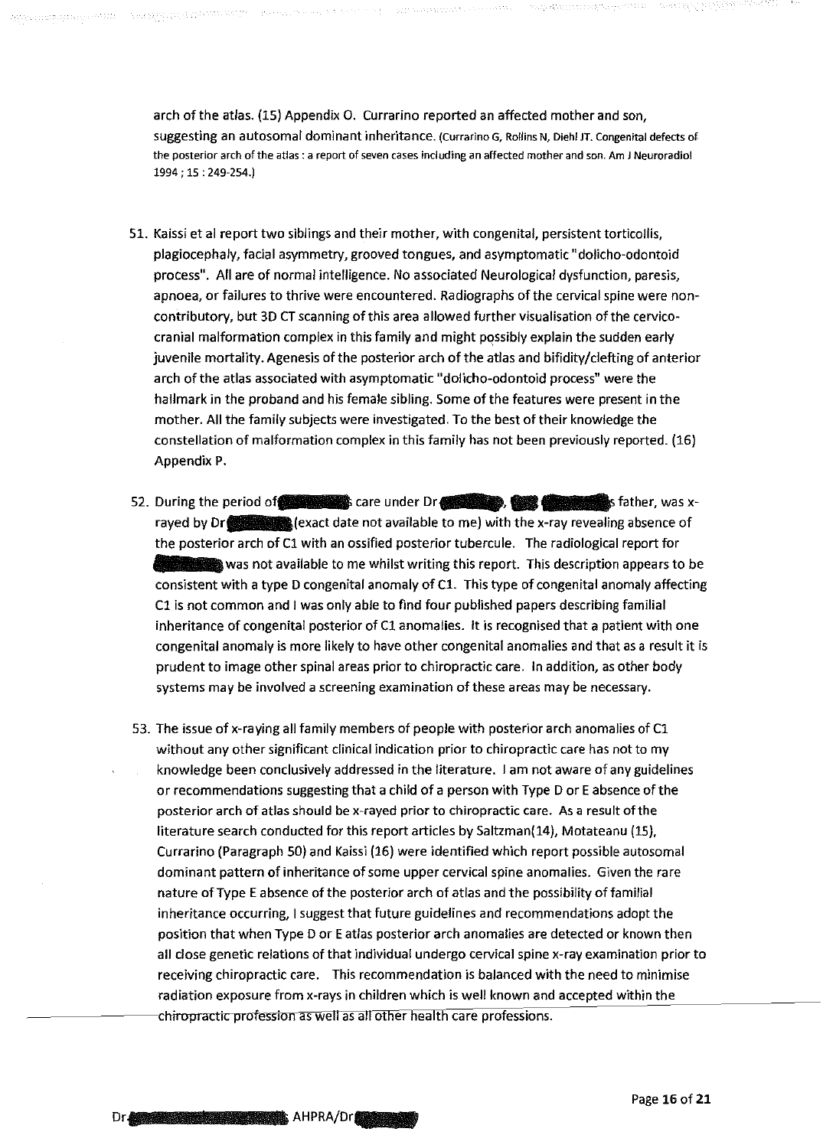arch of the atlas. (15) Appendix 0. Currarino reported an affected mother and son, suggesting an autosomal dominant inheritance. (Currarino G, Rollins N, Diehl JT. Congenital defects of the posterior arch of the atlas : a report of seven cases including an affected mother and son. Am J Neuroradiol 1994 ; 15 : 249-254.]

rijevanju u travnostva v se teta u u state trijeju (12. silate teta 124

- 51. Kaissi et al report two siblings and their mother, with congenital, persistent torticollis, plagiocephaly, facial asymmetry, grooved tongues, and asymptomatic "dolicho-odontoid process". All are of normal intelligence. No associated Neurological dysfunction, paresis, apnoea, or failures to thrive were encountered. Radiographs of the cervical spine were noncontributory, but 3D CT scanning of this area allowed further visualisation of the cervicocranial malformation complex in this family and might possibly explain the sudden early juvenile mortality. Agenesis of the posterior arch of the atlas and bifidity/clefting of anterior arch of the atlas associated with asymptomatic "dolicho-odontoid process" were the hallmark in the proband and his female sibling. Some of the features were present in the mother. All the family subjects were investigated. To the best of their knowledge the constellation of malformation complex in this family has not been previously reported. (16) Appendix P.
- 52. During the period of **care was a** care under Dr ( *example)*, **Care to me**s father, was x-<br>rayed by Dr (**exact date not available to me) with the x-ray revealing absence of** the posterior arch of C1 with an ossified posterior tubercule. The radiological report for was not available to me whilst writing this report. This description appears to be consistent with a type D congenital anomaly of Cl. This type of congenital anomaly affecting Cl is not common and I was only able to find four published papers describing familial inheritance of congenital posterior of C1 anomalies. It is recognised that a patient with one congenital anomaly is more likely to have other congenital anomalies and that as a result it is prudent to image other spinal areas prior to chiropractic care. In addition, as other body systems may be involved a screening examination of these areas may be necessary.
- 53. The issue of x-raying all family members of people with posterior arch anomalies of Cl without any other significant clinical indication prior to chiropractic care has not to my knowledge been conclusively addressed in the literature. I am not aware of any guidelines or recommendations suggesting that a child of a person with Type D or E absence of the posterior arch of atlas should be x-rayed prior to chiropractic care. As a result of the literature search conducted for this report articles by Saltzman(14), Motateanu (15), Currarino (Paragraph 50) and Kaissi (16) were identified which report possible autosomal dominant pattern of inheritance of some upper cervical spine anomalies. Given the rare nature of Type E absence of the posterior arch of atlas and the possibility of familial inheritance occurring, I suggest that future guidelines and recommendations adopt the position that when Type D or E atlas posterior arch anomalies are detected or known then all close genetic relations of that individual undergo cervical spine x-ray examination prior to receiving chiropractic care. This recommendation is balanced with the need to minimise radiation exposure from x-rays in children which is well known and accepted within the chiropractic profession as well as all other health care professions.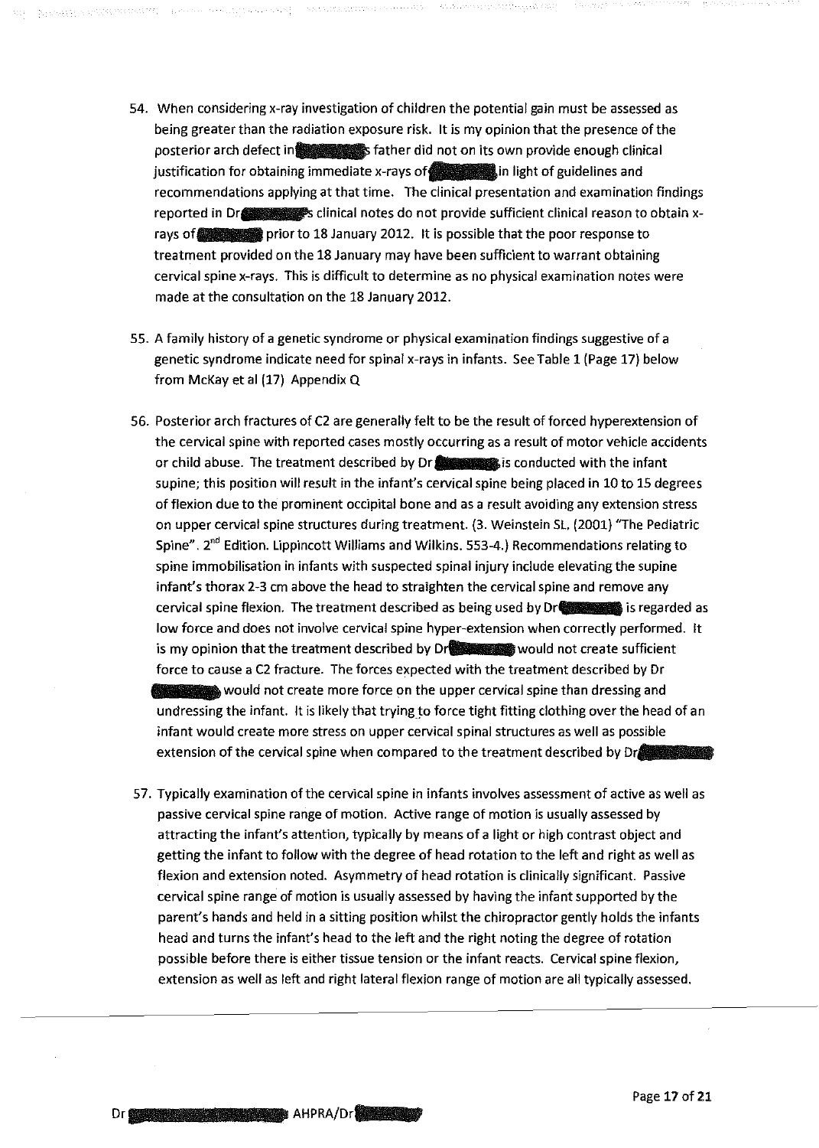- 54. When considering x-ray investigation of children the potential gain must be assessed as being greater than the radiation exposure risk. It is my opinion that the presence of the posterior arch defect in research stather did not on its own provide enough clinical justification for obtaining immediate x-rays of in light of guidelines and recommendations applying at that time. The clinical presentation and examination findings reported in Dr. extensive is clinical notes do not provide sufficient clinical reason to obtain xrays of **I prior to 18 January 2012.** It is possible that the poor response to treatment provided on the 18 January may have been sufficient to warrant obtaining cervical spine x-rays. This is difficult to determine as no physical examination notes were made at the consultation on the 18 January 2012.
- 55. A family history of a genetic syndrome or physical examination findings suggestive of a genetic syndrome indicate need for spinal x-rays in infants. See Table 1 (Page 17) below from McKay et al (17) Appendix Q
- 56. Posterior arch fractures of C2 are generally felt to be the result of forced hyperextension of the cervical spine with reported cases mostly occurring as a result of motor vehicle accidents or child abuse. The treatment described by Dr**lling and is conducted with the infant** supine; this position will result in the infant's cervical spine being placed in 10 to 15 degrees of flexion due to the prominent occipital bone and as a result avoiding any extension stress on upper cervical spine structures during treatment. (3. Weinstein SL. (2001) "The Pediatric Spine". 2"d Edition. Lippincott Williams and Wilkins. 553-4.) Recommendations relating to spine immobilisation in infants with suspected spinal injury include elevating the supine infant's thorax 2-3 em above the head to straighten the cervical spine and remove any cervical spine flexion. The treatment described as being used by Dr is regarded as low force and does not involve cervical spine hyper-extension when correctly performed. It is my opinion that the treatment described by Dr. and a would not create sufficient force to cause a C2 fracture. The forces expected with the treatment described by Dr 811111111111111.would not create more force on the upper cervical spine than dressing and undressing the infant. It is likely that trying to force tight fitting clothing over the head of an infant would create more stress on upper cervical spinal structures as well as possible extension of the cervical spine when compared to the treatment described by Dr
- 57. Typically examination of the cervical spine in infants involves assessment of active as well as passive cervical spine range of motion. Active range of motion is usually assessed by attracting the infant's attention, typically by means of a light or high contrast object and getting the infant to follow with the degree of head rotation to the left and right as well as flexion and extension noted. Asymmetry of head rotation is clinically significant. Passive cervical spine range of motion is usually assessed by having the infant supported by the parent's hands and held in a sitting position whilst the chiropractor gently holds the infants head and turns the infant's head to the left and the right noting the degree of rotation possible before there is either tissue tension or the infant reacts. Cervical spine flexion, extension as well as left and right lateral flexion range of motion are all typically assessed.

 $Dr_{\bullet}$   $AHPRA/Dr_{\bullet}$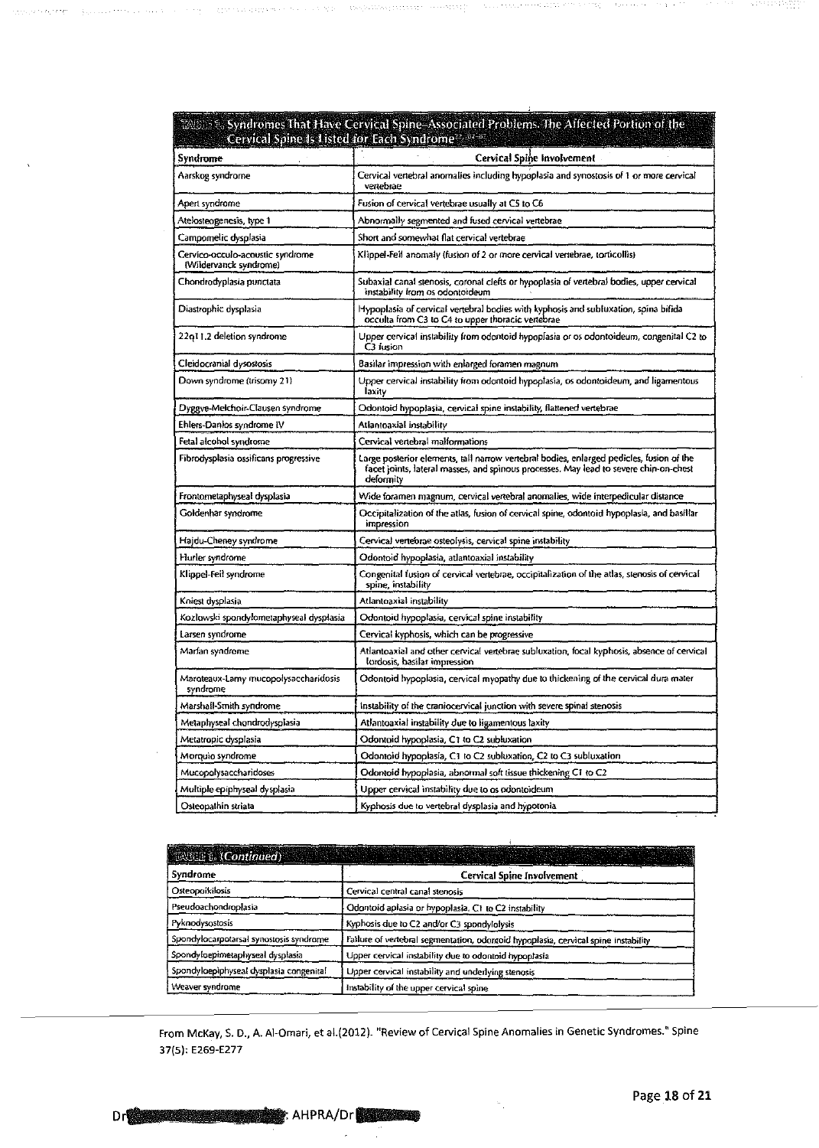# ---- -- ---- - -~-~------------~- --- ------~------------ ~- -- - -- - ~~:.;\_.~"'1 Syn(h omes That Have Cervical Spine-Associated Problems. The Affected Portion of the

|                                                            | Cervical Spine Is Listed for Each Syndrome (2015)                                                                                                                                              |
|------------------------------------------------------------|------------------------------------------------------------------------------------------------------------------------------------------------------------------------------------------------|
| Svndrome                                                   | Cervical Spine Involvement                                                                                                                                                                     |
| Aarskog syndrome                                           | Cervical vertebral anomalies including hypoplasia and synostosis of 1 or more cervical<br>vertebrae                                                                                            |
| Apert syndrome                                             | Fusion of cervical vertebrae usually at C5 to C6                                                                                                                                               |
| Atelosteogenesis, type 1                                   | Abnormally segmented and fused cervical vertebrae                                                                                                                                              |
| Campomelic dysplasia                                       | Short and somewhat flat cervical vertebrae                                                                                                                                                     |
| Cervico-occulo-acoustic syndrome<br>(Wildervanck syndrome) | Klippel-Feil anomaly (fusion of 2 or more cervical vertebrae, torticollis)                                                                                                                     |
| Chondrodyplasia punctata                                   | Subaxial canal stenosis, coronal clefts or hypoplasia of vertebral bodies, upper cervical<br>instability from os odontoideum                                                                   |
| Diastrophic dysplasia                                      | Hypoplasia of cervical vertebral bodies with kyphosis and subluxation, spina bifida<br>occulta from C3 to C4 to upper thoracic vertebrae                                                       |
| 22g11.2 deletion syndrome                                  | Upper cervical instability from odontoid hypoplasia or os odontoideum, congenital C2 to<br>C3 fusion                                                                                           |
| Cleidocranial dysostosis                                   | Basilar impression with enlarged foramen magnum                                                                                                                                                |
| Down syndrome (trisomy 21)                                 | Upper cervical instability from odontoid hypoplasia, os odontoideum, and ligamentous<br>laxity                                                                                                 |
| Dyggve-Melchoir-Clausen syndrome                           | Odontoid hypoplasia, cervical spine instability, flattened vertebrae                                                                                                                           |
| Ehlers-Danios syndrome IV                                  | Atlantoaxial instability                                                                                                                                                                       |
| Fetal alcohol syndrome                                     | Cervical vertebral malformations                                                                                                                                                               |
| Fibrodysplasia ossificans progressive                      | Large posterior elements, tall narrow vertebral bodies, enlarged pedicles, fusion of the<br>facet joints, lateral masses, and spinous processes. May lead to severe chin-on-chest<br>deformity |
| Frontometaphyseal dysplasia                                | Wide toramen magnum, cervical vertebral anomalies, wide interpedicular distance                                                                                                                |
| Goldenhar syndrome                                         | Occipitalization of the atlas, fusion of cervical spine, odontoid hypoplasia, and basillar<br>impression                                                                                       |
| Hajdu-Cheney syndrome                                      | Cervical vertebrae osteolysis, cervical spine instability                                                                                                                                      |
| Hurler syndrome                                            | Odontoid hypoplasia, atlantoaxial instability                                                                                                                                                  |
| Klippel-Feil syndrome                                      | Congenital fusion of cervical vertebrae, occipitalization of the atlas, stenosis of cervical<br>spine, instability                                                                             |
| Kniest dysplasia                                           | Atlantoaxial instability                                                                                                                                                                       |
| Kozlowski spondylometaphyseal dysplasia                    | Odontoid hypoplasia, cervical spine instability                                                                                                                                                |
| Larsen syndrome                                            | Cervical kyphosis, which can be progressive                                                                                                                                                    |
| Marfan syndrome                                            | Atlantoaxial and other cervical vertebrae subluxation, focal kyphosis, absence of cervical<br>lordosis, basilar impression                                                                     |
| Maroteaux-Lamy mucopolysaccharidosis<br>syndrome           | Odontoid bypoplasia, cervical myopathy due to thickening of the cervical dura mater                                                                                                            |
| Marshall-Smith syndrome                                    | Instability of the craniocervical junction with severe spinal stenosis                                                                                                                         |
| Metaphyseal chondrodysplasia                               | Atlantoaxial instability due to ligamentous laxity                                                                                                                                             |
| Metatropic dysplasia                                       | Odontoid hypoplasia, C1 to C2 subluxation                                                                                                                                                      |
| Morquio syndrome                                           | Odontoid hypoplasia, C1 to C2 subluxation, C2 to C3 subluxation                                                                                                                                |
| Mucopolysaccharidoses                                      | Odontoid hypoplasia, abnormal soft tissue thickening C1 to C2                                                                                                                                  |
| Multiple epiphyseal dysplasia                              | Upper cervical instability due to os odontoideum                                                                                                                                               |
| Osteopathin striata                                        | Kyphosis due to vertebral dysplasia and hypotonia                                                                                                                                              |

| Syndrome                                | Cervical Spine Involvement                                                         |
|-----------------------------------------|------------------------------------------------------------------------------------|
| Osteopoikilosis                         | Cervical central canal stenosis                                                    |
| Pseudoachondroplasia                    | Odontoid aplasia or hypoplasia. C1 to C2 instability                               |
| Pyknodysostosís                         | Kyphosis due to C2 and/or C3 spondylolysis                                         |
| Spondylocarpotarsal synostosis syndrome | Fallure of vertebral segmentation, odontoid hypoplasia, cervical spine instability |
| Spondyloepimetaphyseal dysplasia        | Upper cervical instability due to odontoid hypoplasia                              |
| Spondyloepiphyseal dysplasia congenital | Upper cervical instability and underlying stenosis                                 |
| Weaver syndrome                         | Instability of the upper cervical spine                                            |

From McKay, S.D., A. Al-Omari, et al.{2012). "Review of Cervical Spine Anomalies in Genetic Syndromes." Spine 37(5): E269-E277

----··· AHPRA/Dr·-·

Dr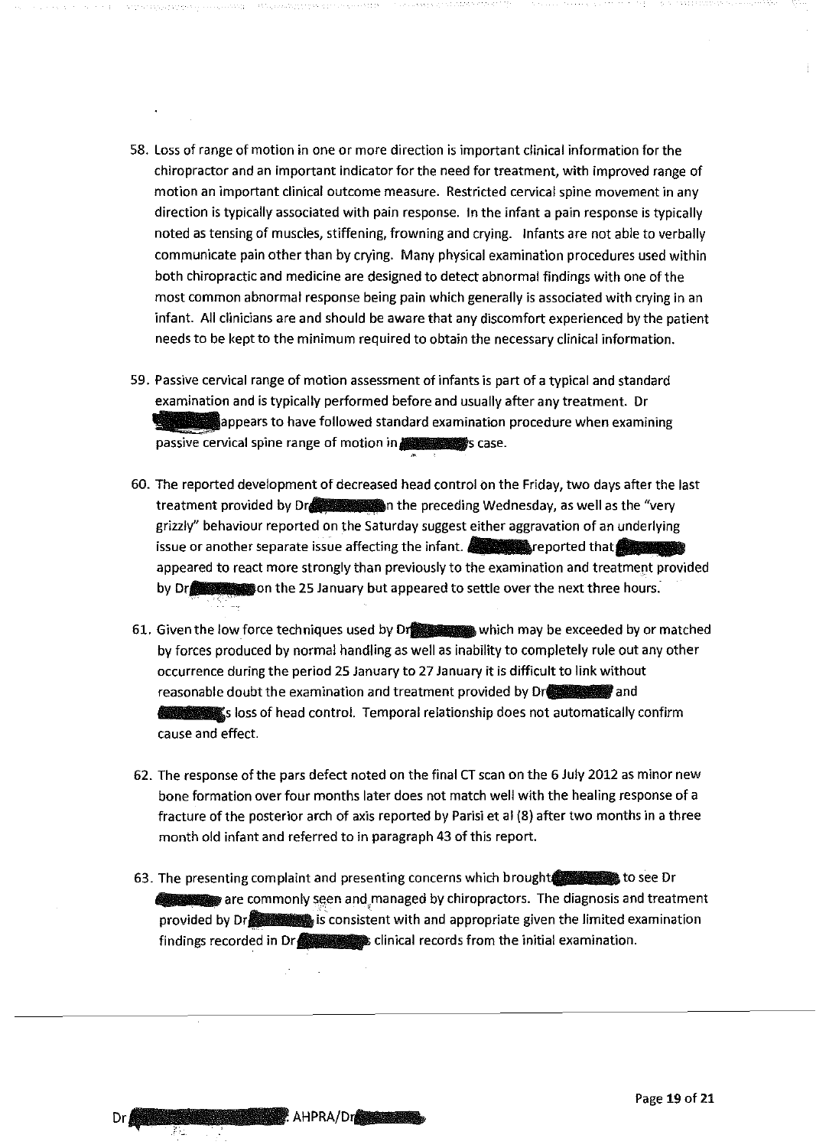- 58. Loss of range of motion in one or more direction is important clinical information for the chiropractor and an important indicator for the need for treatment, with improved range of motion an important clinical outcome measure. Restricted cervical spine movement in any direction is typically associated with pain response. In the infant a pain response is typically noted as tensing of muscles, stiffening, frowning and crying. Infants are not able to verbally communicate pain other than by crying. Many physical examination procedures used within both chiropractic and medicine are designed to detect abnormal findings with one of the most common abnormal response being pain which generally is associated with crying in an infant. All clinicians are and should be aware that any discomfort experienced by the patient needs to be kept to the minimum required to obtain the necessary clinical information.
- 59. Passive cervical range of motion assessment of infants is part of a typical and standard examination and is typically performed before and usually after any treatment. Dr -appears to have followed standard examination procedure when examining passive cervical spine range of motion in streams is case.
- 60. The reported development of decreased head control on the Friday, two days after the last treatment provided by Dr. in the preceding Wednesday, as well as the "very grizzly" behaviour reported on the Saturday suggest either aggravation of an underlying issue or another separate issue affecting the infant.  $\mathcal{L}$  and  $\mathcal{L}$  reported that  $\mathcal{L}$ appeared to react more strongly than previously to the examination and treatment provided by Dress as on the 25 January but appeared to settle over the next three hours.
- 61. Given the low force techniques used by Dr. which may be exceeded by or matched by forces produced by normal handling as well as inability to completely rule out any other occurrence during the period 25 January to 27 January it is difficult to link without reasonable doubt the examination and treatment provided by Dr •111111111s loss of head control. Temporal relationship does not automatically confirm cause and effect.
- 62. The response of the pars defect noted on the final CT scan on the 6 July 2012 as minor new bone formation over four months later does not match well with the healing response of a fracture of the posterior arch of axis reported by Parisi et al (8) after two months in a three month old infant and referred to in paragraph 43 of this report.
- 63. The presenting complaint and presenting concerns which brought and see Dr differentially seen and, managed by chiropractors. The diagnosis and treatment provided by Dr. is consistent with and appropriate given the limited examination findings recorded in Dream  $\epsilon$  clinical records from the initial examination.

**AHPRA/Dress Company**: AHPRA/Dress Company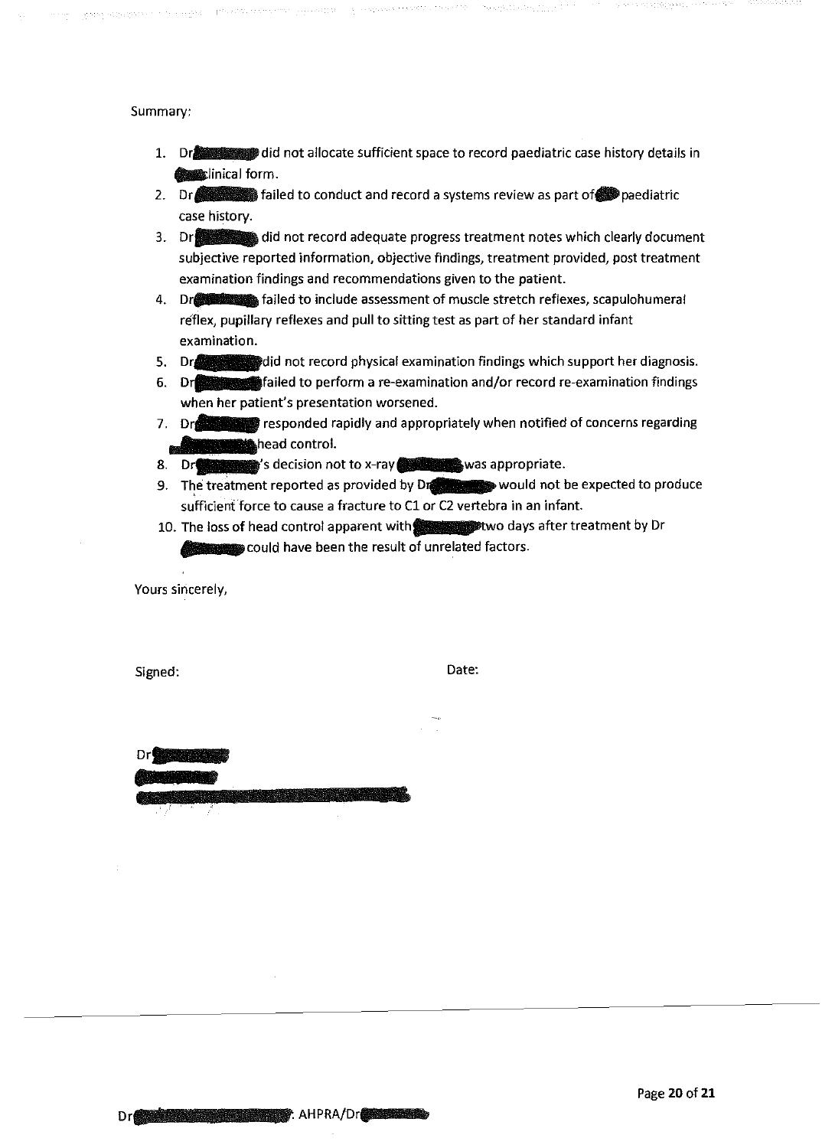#### Summary:

- 1. Dr did not allocate sufficient space to record paediatric case history details in **example inical form.**
- 2. Dr **failed to conduct and record a systems review as part of.** paediatric case history.
- 3. did not record adequate progress treatment notes which clearly document subjective reported information, objective findings, treatment provided, post treatment examination findings and recommendations given to the patient.
- 4. Dressessment of muscle stretch reflexes, scapulohumeral reflex, pupillary reflexes and pull to sitting test as part of her standard infant examination.
- 5. Or-did not record physical examination findings which support her diagnosis.
- 6. Dresses failed to perform a re-examination and/or record re-examination findings when her patient's presentation worsened.
- 7. Dresserve presponded rapidly and appropriately when notified of concerns regarding .-.head control.
- 8. Dr **(2008)** S decision not to x-ray was appropriate.
- 9. The treatment reported as provided by Dreit would not be expected to produce sufficient force to cause a fracture to C1 or C2 vertebra in an infant.
- 10. The loss of head control apparent with with wo days after treatment by Dr  $\blacksquare$  could have been the result of unrelated factors.

Yours sincerely,

Signed: Date:

Dr

Dr

 $\bullet$  . AHPRA/Dr $\bullet$ 

Page 20 of 21